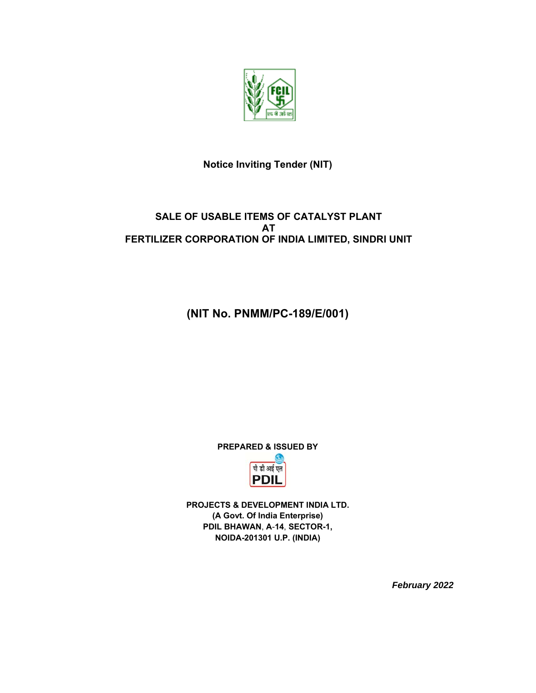

## **Notice Inviting Tender (NIT)**

## **SALE OF USABLE ITEMS OF CATALYST PLANT AT FERTILIZER CORPORATION OF INDIA LIMITED, SINDRI UNIT**

## **(NIT No. PNMM/PC-189/E/001)**

**PREPARED & ISSUED BY** 



**PROJECTS & DEVELOPMENT INDIA LTD. (A Govt. Of India Enterprise) PDIL BHAWAN**, **A**-**14**, **SECTOR-1, NOIDA-201301 U.P. (INDIA)** 

*February 2022*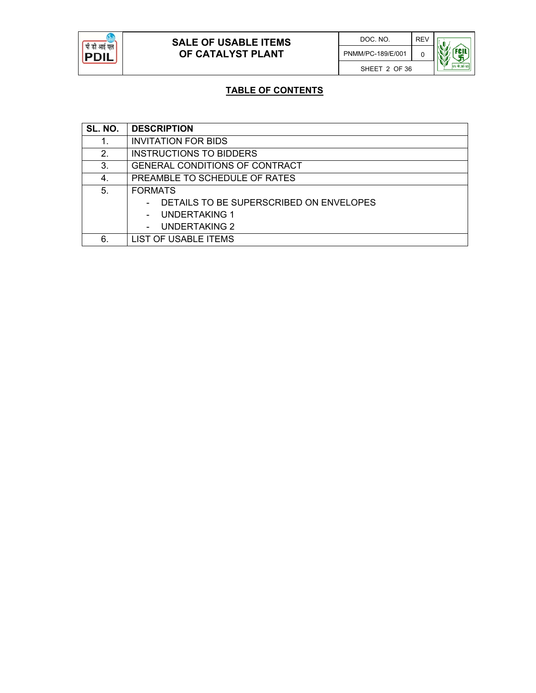

## **TABLE OF CONTENTS**

| SL. NO. | <b>DESCRIPTION</b>                      |
|---------|-----------------------------------------|
| 1.      | <b>INVITATION FOR BIDS</b>              |
| 2.      | <b>INSTRUCTIONS TO BIDDERS</b>          |
| 3.      | GENERAL CONDITIONS OF CONTRACT          |
| 4.      | PREAMBLE TO SCHEDULE OF RATES           |
| 5.      | <b>FORMATS</b>                          |
|         | DETAILS TO BE SUPERSCRIBED ON ENVELOPES |
|         | UNDERTAKING 1                           |
|         | <b>UNDERTAKING 2</b>                    |
| 6.      | <b>LIST OF USABLE ITEMS</b>             |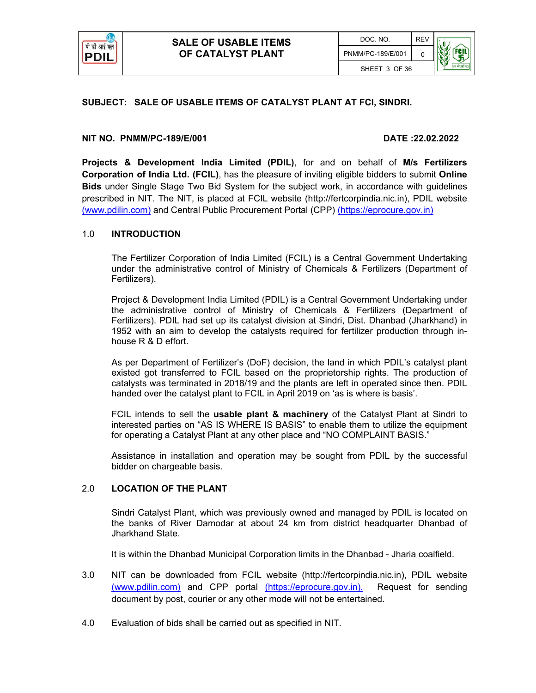

#### **SUBJECT: SALE OF USABLE ITEMS OF CATALYST PLANT AT FCI, SINDRI.**

#### **NIT NO. PNMM/PC-189/E/001 DATE :22.02.2022**

**Projects & Development India Limited (PDIL)**, for and on behalf of **M/s Fertilizers Corporation of India Ltd. (FCIL)**, has the pleasure of inviting eligible bidders to submit **Online Bids** under Single Stage Two Bid System for the subject work, in accordance with guidelines prescribed in NIT. The NIT, is placed at FCIL website (http://fertcorpindia.nic.in), PDIL website (www.pdilin.com) and Central Public Procurement Portal (CPP) (https://eprocure.gov.in)

#### 1.0 **INTRODUCTION**

The Fertilizer Corporation of India Limited (FCIL) is a Central Government Undertaking under the administrative control of Ministry of Chemicals & Fertilizers (Department of Fertilizers).

Project & Development India Limited (PDIL) is a Central Government Undertaking under the administrative control of Ministry of Chemicals & Fertilizers (Department of Fertilizers). PDIL had set up its catalyst division at Sindri, Dist. Dhanbad (Jharkhand) in 1952 with an aim to develop the catalysts required for fertilizer production through inhouse R & D effort.

As per Department of Fertilizer's (DoF) decision, the land in which PDIL's catalyst plant existed got transferred to FCIL based on the proprietorship rights. The production of catalysts was terminated in 2018/19 and the plants are left in operated since then. PDIL handed over the catalyst plant to FCIL in April 2019 on 'as is where is basis'.

FCIL intends to sell the **usable plant & machinery** of the Catalyst Plant at Sindri to interested parties on "AS IS WHERE IS BASIS" to enable them to utilize the equipment for operating a Catalyst Plant at any other place and "NO COMPLAINT BASIS."

Assistance in installation and operation may be sought from PDIL by the successful bidder on chargeable basis.

#### 2.0 **LOCATION OF THE PLANT**

Sindri Catalyst Plant, which was previously owned and managed by PDIL is located on the banks of River Damodar at about 24 km from district headquarter Dhanbad of Jharkhand State.

It is within the Dhanbad Municipal Corporation limits in the Dhanbad - Jharia coalfield.

- 3.0 NIT can be downloaded from FCIL website (http://fertcorpindia.nic.in), PDIL website (www.pdilin.com) and CPP portal (https://eprocure.gov.in). Request for sending document by post, courier or any other mode will not be entertained.
- 4.0 Evaluation of bids shall be carried out as specified in NIT.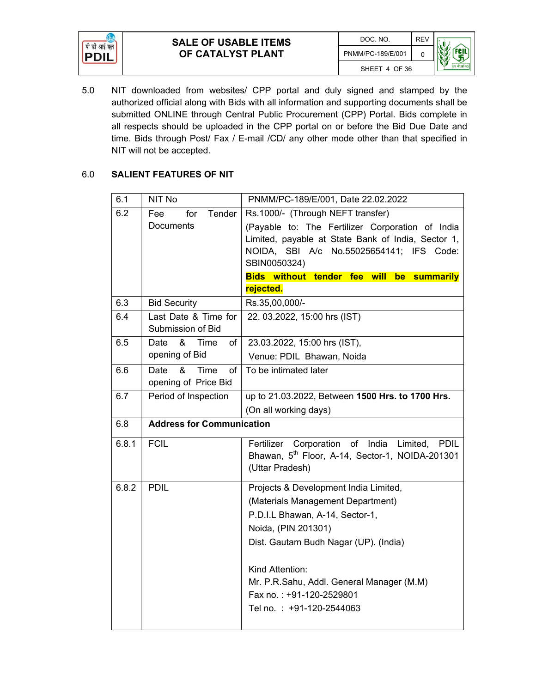



#### 6.0 **SALIENT FEATURES OF NIT**

| 6.1   | NIT No                                          | PNMM/PC-189/E/001, Date 22.02.2022                                                                                                                                                                                                                                                                    |  |
|-------|-------------------------------------------------|-------------------------------------------------------------------------------------------------------------------------------------------------------------------------------------------------------------------------------------------------------------------------------------------------------|--|
| 6.2   | Tender<br>Fee<br>for<br>Documents               | Rs.1000/- (Through NEFT transfer)<br>(Payable to: The Fertilizer Corporation of India<br>Limited, payable at State Bank of India, Sector 1,<br>NOIDA, SBI A/c No.55025654141; IFS Code:<br>SBIN0050324)<br>Bids without tender fee will be summarily<br>rejected.                                     |  |
|       |                                                 |                                                                                                                                                                                                                                                                                                       |  |
| 6.3   | <b>Bid Security</b>                             | Rs.35,00,000/-                                                                                                                                                                                                                                                                                        |  |
| 6.4   | Last Date & Time for<br>Submission of Bid       | 22. 03.2022, 15:00 hrs (IST)                                                                                                                                                                                                                                                                          |  |
| 6.5   | &<br>Date<br>Time<br>of<br>opening of Bid       | 23.03.2022, 15:00 hrs (IST),<br>Venue: PDIL Bhawan, Noida                                                                                                                                                                                                                                             |  |
| 6.6   | &<br>Date<br>Time<br>of<br>opening of Price Bid | To be intimated later                                                                                                                                                                                                                                                                                 |  |
| 6.7   | Period of Inspection                            | up to 21.03.2022, Between 1500 Hrs. to 1700 Hrs.<br>(On all working days)                                                                                                                                                                                                                             |  |
| 6.8   | <b>Address for Communication</b>                |                                                                                                                                                                                                                                                                                                       |  |
| 6.8.1 | <b>FCIL</b>                                     | Corporation of India Limited,<br>Fertilizer<br><b>PDIL</b><br>Bhawan, 5 <sup>th</sup> Floor, A-14, Sector-1, NOIDA-201301<br>(Uttar Pradesh)                                                                                                                                                          |  |
| 6.8.2 | <b>PDIL</b>                                     | Projects & Development India Limited,<br>(Materials Management Department)<br>P.D.I.L Bhawan, A-14, Sector-1,<br>Noida, (PIN 201301)<br>Dist. Gautam Budh Nagar (UP). (India)<br>Kind Attention:<br>Mr. P.R.Sahu, Addl. General Manager (M.M)<br>Fax no.: +91-120-2529801<br>Tel no.: +91-120-2544063 |  |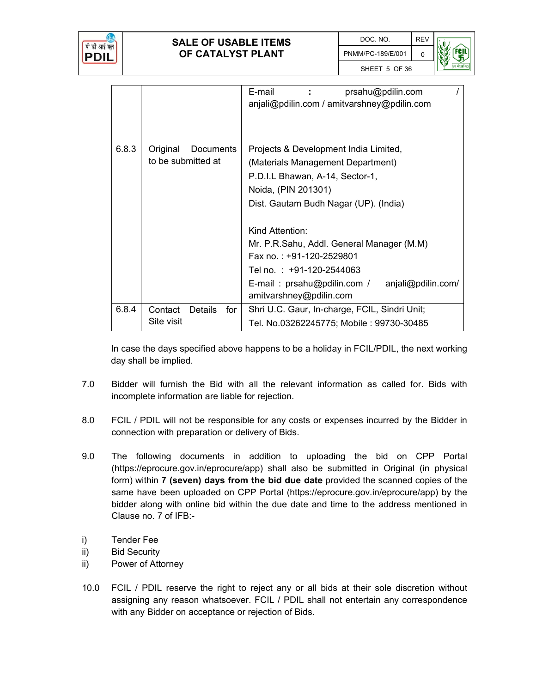

|       |                           | E-mail<br>prsahu@pdilin.com<br>anjali@pdilin.com / amitvarshney@pdilin.com   |  |
|-------|---------------------------|------------------------------------------------------------------------------|--|
| 6.8.3 | Original<br>Documents     | Projects & Development India Limited,                                        |  |
|       | to be submitted at        | (Materials Management Department)                                            |  |
|       |                           | P.D.I.L Bhawan, A-14, Sector-1,                                              |  |
|       |                           | Noida, (PIN 201301)                                                          |  |
|       |                           | Dist. Gautam Budh Nagar (UP). (India)                                        |  |
|       |                           | Kind Attention:                                                              |  |
|       |                           | Mr. P.R.Sahu, Addl. General Manager (M.M)                                    |  |
|       |                           | Fax no.: +91-120-2529801                                                     |  |
|       |                           | Tel no.: +91-120-2544063                                                     |  |
|       |                           | E-mail: prsahu@pdilin.com /<br>anjali@pdilin.com/<br>amitvarshney@pdilin.com |  |
| 6.8.4 | Contact<br>Details<br>for | Shri U.C. Gaur, In-charge, FCIL, Sindri Unit;                                |  |
|       | Site visit                | Tel. No.03262245775; Mobile : 99730-30485                                    |  |

In case the days specified above happens to be a holiday in FCIL/PDIL, the next working day shall be implied.

- 7.0 Bidder will furnish the Bid with all the relevant information as called for. Bids with incomplete information are liable for rejection.
- 8.0 FCIL / PDIL will not be responsible for any costs or expenses incurred by the Bidder in connection with preparation or delivery of Bids.
- 9.0 The following documents in addition to uploading the bid on CPP Portal (https://eprocure.gov.in/eprocure/app) shall also be submitted in Original (in physical form) within **7 (seven) days from the bid due date** provided the scanned copies of the same have been uploaded on CPP Portal (https://eprocure.gov.in/eprocure/app) by the bidder along with online bid within the due date and time to the address mentioned in Clause no. 7 of IFB:-
- i) Tender Fee
- ii) Bid Security
- ii) Power of Attorney
- 10.0 FCIL / PDIL reserve the right to reject any or all bids at their sole discretion without assigning any reason whatsoever. FCIL / PDIL shall not entertain any correspondence with any Bidder on acceptance or rejection of Bids.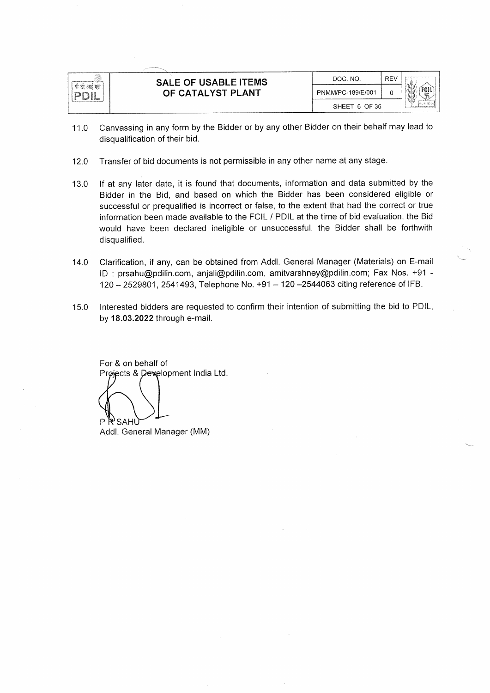

- Canvassing in any form by the Bidder or by any other Bidder on their behalf may lead to  $11.0$ disqualification of their bid.
- 12.0 Transfer of bid documents is not permissible in any other name at any stage.
- If at any later date, it is found that documents, information and data submitted by the 13.0 Bidder in the Bid, and based on which the Bidder has been considered eligible or successful or prequalified is incorrect or false, to the extent that had the correct or true information been made available to the FCIL / PDIL at the time of bid evaluation, the Bid would have been declared ineligible or unsuccessful, the Bidder shall be forthwith disqualified.
- Clarification, if any, can be obtained from Addl. General Manager (Materials) on E-mail  $14.0$ ID: prsahu@pdilin.com, anjali@pdilin.com, amitvarshney@pdilin.com; Fax Nos. +91 -120 - 2529801, 2541493, Telephone No. +91 - 120 - 2544063 citing reference of IFB.
- Interested bidders are requested to confirm their intention of submitting the bid to PDIL, 15.0 by 18.03.2022 through e-mail.

For & on behalf of Projects & Dexelopment India Ltd.

P P SAHU Addl. General Manager (MM)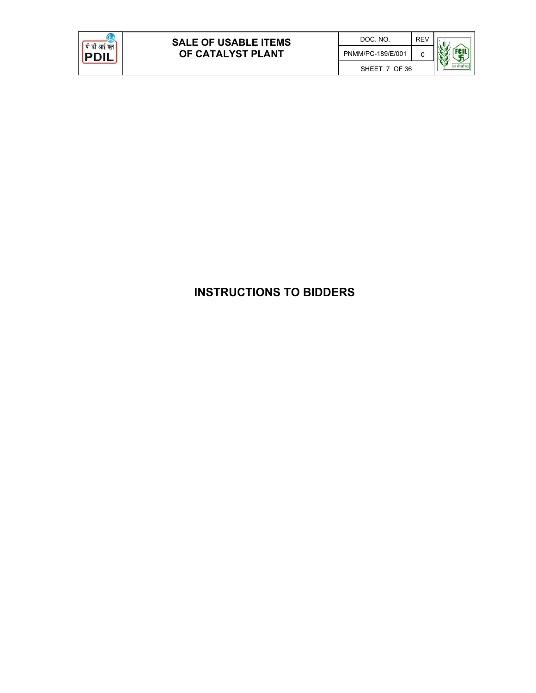

# **INSTRUCTIONS TO BIDDERS**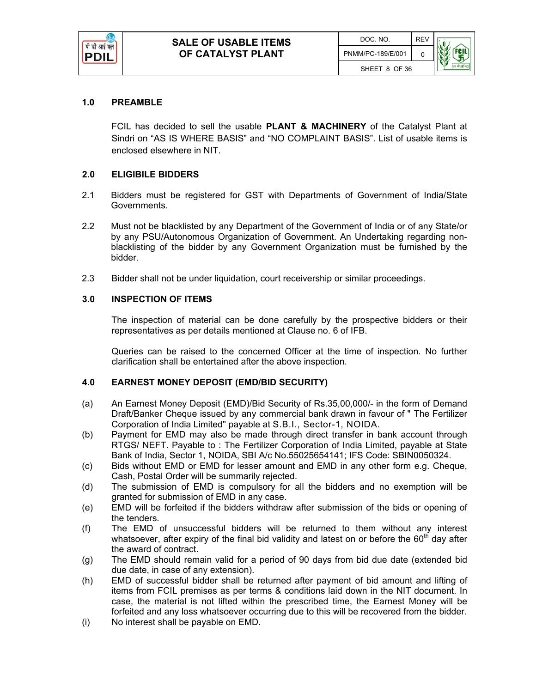

#### **1.0 PREAMBLE**

FCIL has decided to sell the usable **PLANT & MACHINERY** of the Catalyst Plant at Sindri on "AS IS WHERE BASIS" and "NO COMPLAINT BASIS". List of usable items is enclosed elsewhere in NIT.

#### **2.0 ELIGIBILE BIDDERS**

- 2.1 Bidders must be registered for GST with Departments of Government of India/State Governments.
- 2.2 Must not be blacklisted by any Department of the Government of India or of any State/or by any PSU/Autonomous Organization of Government. An Undertaking regarding nonblacklisting of the bidder by any Government Organization must be furnished by the bidder.
- 2.3 Bidder shall not be under liquidation, court receivership or similar proceedings.

#### **3.0 INSPECTION OF ITEMS**

The inspection of material can be done carefully by the prospective bidders or their representatives as per details mentioned at Clause no. 6 of IFB.

Queries can be raised to the concerned Officer at the time of inspection. No further clarification shall be entertained after the above inspection.

#### **4.0 EARNEST MONEY DEPOSIT (EMD/BID SECURITY)**

- (a) An Earnest Money Deposit (EMD)/Bid Security of Rs.35,00,000/- in the form of Demand Draft/Banker Cheque issued by any commercial bank drawn in favour of " The Fertilizer Corporation of India Limited" payable at S.B.I., Sector-1, NOIDA.
- (b) Payment for EMD may also be made through direct transfer in bank account through RTGS/ NEFT. Payable to : The Fertilizer Corporation of India Limited, payable at State Bank of India, Sector 1, NOIDA, SBI A/c No.55025654141; IFS Code: SBIN0050324.
- (c) Bids without EMD or EMD for lesser amount and EMD in any other form e.g. Cheque, Cash, Postal Order will be summarily rejected.
- (d) The submission of EMD is compulsory for all the bidders and no exemption will be granted for submission of EMD in any case.
- (e) EMD will be forfeited if the bidders withdraw after submission of the bids or opening of the tenders.
- (f) The EMD of unsuccessful bidders will be returned to them without any interest whatsoever, after expiry of the final bid validity and latest on or before the  $60<sup>th</sup>$  day after the award of contract.
- (g) The EMD should remain valid for a period of 90 days from bid due date (extended bid due date, in case of any extension).
- (h) EMD of successful bidder shall be returned after payment of bid amount and lifting of items from FCIL premises as per terms & conditions laid down in the NIT document. In case, the material is not lifted within the prescribed time, the Earnest Money will be forfeited and any loss whatsoever occurring due to this will be recovered from the bidder.
- (i) No interest shall be payable on EMD.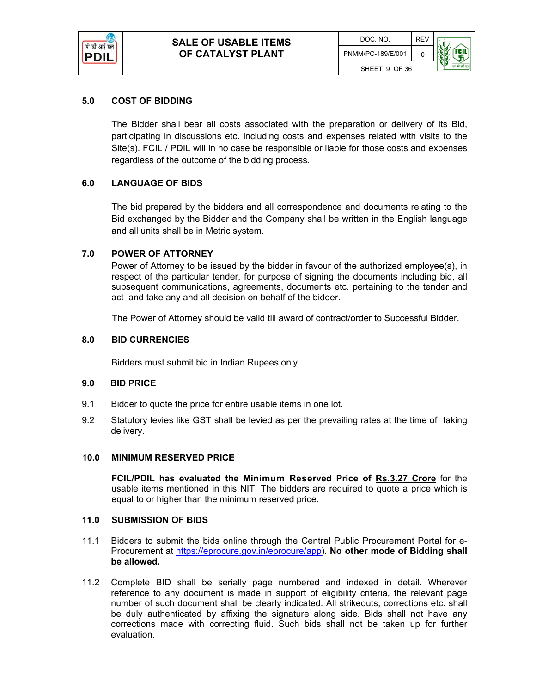

#### **5.0 COST OF BIDDING**

The Bidder shall bear all costs associated with the preparation or delivery of its Bid, participating in discussions etc. including costs and expenses related with visits to the Site(s). FCIL / PDIL will in no case be responsible or liable for those costs and expenses regardless of the outcome of the bidding process.

#### **6.0 LANGUAGE OF BIDS**

The bid prepared by the bidders and all correspondence and documents relating to the Bid exchanged by the Bidder and the Company shall be written in the English language and all units shall be in Metric system.

#### **7.0 POWER OF ATTORNEY**

Power of Attorney to be issued by the bidder in favour of the authorized employee(s), in respect of the particular tender, for purpose of signing the documents including bid, all subsequent communications, agreements, documents etc. pertaining to the tender and act and take any and all decision on behalf of the bidder.

The Power of Attorney should be valid till award of contract/order to Successful Bidder.

#### **8.0 BID CURRENCIES**

Bidders must submit bid in Indian Rupees only.

#### **9.0 BID PRICE**

- 9.1 Bidder to quote the price for entire usable items in one lot.
- 9.2 Statutory levies like GST shall be levied as per the prevailing rates at the time of taking delivery.

#### **10.0 MINIMUM RESERVED PRICE**

**FCIL/PDIL has evaluated the Minimum Reserved Price of Rs.3.27 Crore** for the usable items mentioned in this NIT. The bidders are required to quote a price which is equal to or higher than the minimum reserved price.

#### **11.0 SUBMISSION OF BIDS**

- 11.1 Bidders to submit the bids online through the Central Public Procurement Portal for e-Procurement at https://eprocure.gov.in/eprocure/app). **No other mode of Bidding shall be allowed.**
- 11.2 Complete BID shall be serially page numbered and indexed in detail. Wherever reference to any document is made in support of eligibility criteria, the relevant page number of such document shall be clearly indicated. All strikeouts, corrections etc. shall be duly authenticated by affixing the signature along side. Bids shall not have any corrections made with correcting fluid. Such bids shall not be taken up for further evaluation.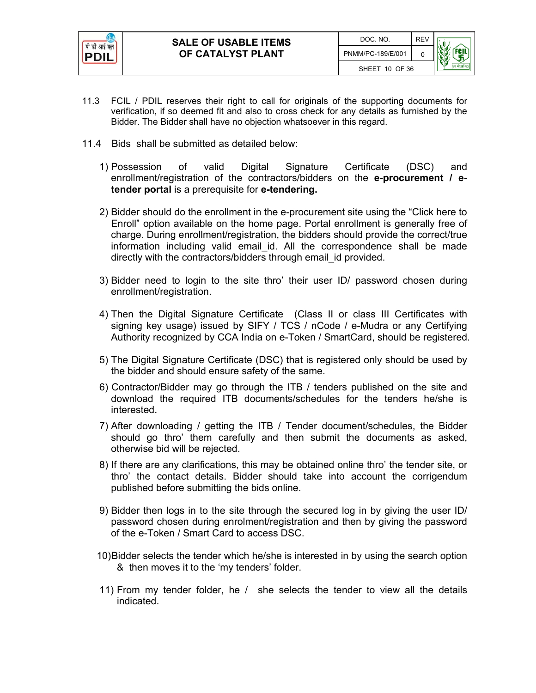

- 11.3 FCIL / PDIL reserves their right to call for originals of the supporting documents for verification, if so deemed fit and also to cross check for any details as furnished by the Bidder. The Bidder shall have no objection whatsoever in this regard.
- 11.4 Bids shall be submitted as detailed below:
	- 1) Possession of valid Digital Signature Certificate (DSC) and enrollment/registration of the contractors/bidders on the **e-procurement / etender portal** is a prerequisite for **e-tendering.**
	- 2) Bidder should do the enrollment in the e-procurement site using the "Click here to Enroll" option available on the home page. Portal enrollment is generally free of charge. During enrollment/registration, the bidders should provide the correct/true information including valid email id. All the correspondence shall be made directly with the contractors/bidders through email id provided.
	- 3) Bidder need to login to the site thro' their user ID/ password chosen during enrollment/registration.
	- 4) Then the Digital Signature Certificate (Class II or class III Certificates with signing key usage) issued by SIFY / TCS / nCode / e-Mudra or any Certifying Authority recognized by CCA India on e-Token / SmartCard, should be registered.
	- 5) The Digital Signature Certificate (DSC) that is registered only should be used by the bidder and should ensure safety of the same.
	- 6) Contractor/Bidder may go through the ITB / tenders published on the site and download the required ITB documents/schedules for the tenders he/she is interested.
	- 7) After downloading / getting the ITB / Tender document/schedules, the Bidder should go thro' them carefully and then submit the documents as asked, otherwise bid will be rejected.
	- 8) If there are any clarifications, this may be obtained online thro' the tender site, or thro' the contact details. Bidder should take into account the corrigendum published before submitting the bids online.
	- 9) Bidder then logs in to the site through the secured log in by giving the user ID/ password chosen during enrolment/registration and then by giving the password of the e-Token / Smart Card to access DSC.
	- 10) Bidder selects the tender which he/she is interested in by using the search option & then moves it to the 'my tenders' folder.
	- 11) From my tender folder, he / she selects the tender to view all the details indicated.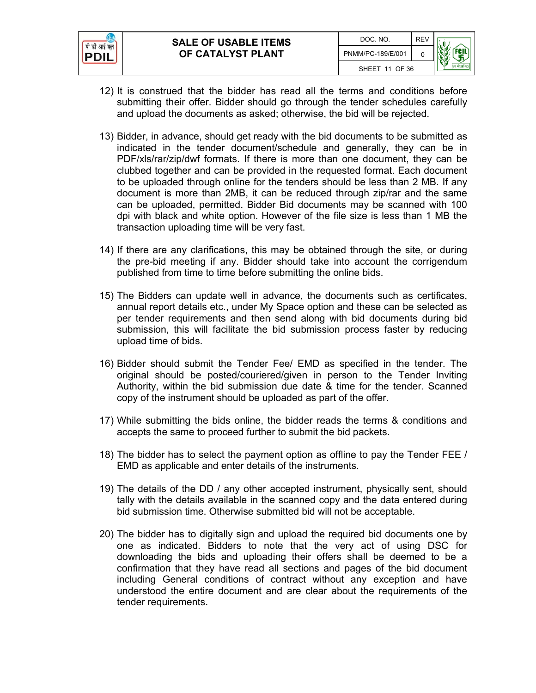

- 12) It is construed that the bidder has read all the terms and conditions before submitting their offer. Bidder should go through the tender schedules carefully and upload the documents as asked; otherwise, the bid will be rejected.
- 13) Bidder, in advance, should get ready with the bid documents to be submitted as indicated in the tender document/schedule and generally, they can be in PDF/xls/rar/zip/dwf formats. If there is more than one document, they can be clubbed together and can be provided in the requested format. Each document to be uploaded through online for the tenders should be less than 2 MB. If any document is more than 2MB, it can be reduced through zip/rar and the same can be uploaded, permitted. Bidder Bid documents may be scanned with 100 dpi with black and white option. However of the file size is less than 1 MB the transaction uploading time will be very fast.
- 14) If there are any clarifications, this may be obtained through the site, or during the pre-bid meeting if any. Bidder should take into account the corrigendum published from time to time before submitting the online bids.
- 15) The Bidders can update well in advance, the documents such as certificates, annual report details etc., under My Space option and these can be selected as per tender requirements and then send along with bid documents during bid submission, this will facilitate the bid submission process faster by reducing upload time of bids.
- 16) Bidder should submit the Tender Fee/ EMD as specified in the tender. The original should be posted/couriered/given in person to the Tender Inviting Authority, within the bid submission due date & time for the tender. Scanned copy of the instrument should be uploaded as part of the offer.
- 17) While submitting the bids online, the bidder reads the terms & conditions and accepts the same to proceed further to submit the bid packets.
- 18) The bidder has to select the payment option as offline to pay the Tender FEE / EMD as applicable and enter details of the instruments.
- 19) The details of the DD / any other accepted instrument, physically sent, should tally with the details available in the scanned copy and the data entered during bid submission time. Otherwise submitted bid will not be acceptable.
- 20) The bidder has to digitally sign and upload the required bid documents one by one as indicated. Bidders to note that the very act of using DSC for downloading the bids and uploading their offers shall be deemed to be a confirmation that they have read all sections and pages of the bid document including General conditions of contract without any exception and have understood the entire document and are clear about the requirements of the tender requirements.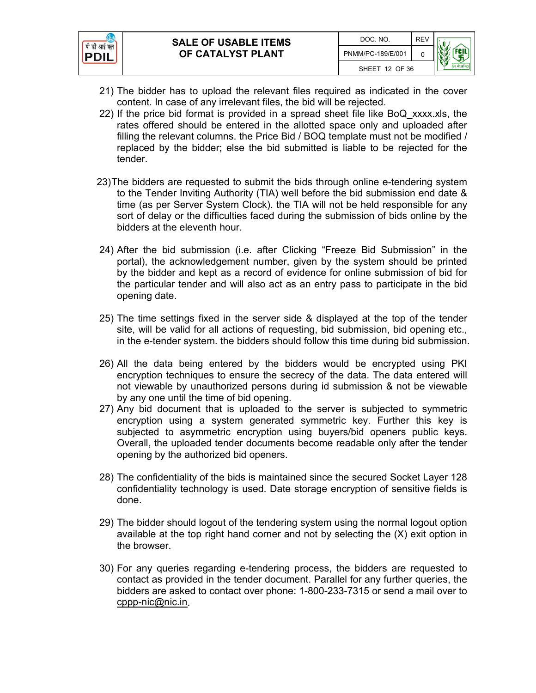

- 21) The bidder has to upload the relevant files required as indicated in the cover content. In case of any irrelevant files, the bid will be rejected.
- 22) If the price bid format is provided in a spread sheet file like BoQ\_xxxx.xls, the rates offered should be entered in the allotted space only and uploaded after filling the relevant columns. the Price Bid / BOQ template must not be modified / replaced by the bidder; else the bid submitted is liable to be rejected for the tender.
- 23) The bidders are requested to submit the bids through online e-tendering system to the Tender Inviting Authority (TIA) well before the bid submission end date & time (as per Server System Clock). the TIA will not be held responsible for any sort of delay or the difficulties faced during the submission of bids online by the bidders at the eleventh hour.
- 24) After the bid submission (i.e. after Clicking "Freeze Bid Submission" in the portal), the acknowledgement number, given by the system should be printed by the bidder and kept as a record of evidence for online submission of bid for the particular tender and will also act as an entry pass to participate in the bid opening date.
- 25) The time settings fixed in the server side & displayed at the top of the tender site, will be valid for all actions of requesting, bid submission, bid opening etc., in the e-tender system. the bidders should follow this time during bid submission.
- 26) All the data being entered by the bidders would be encrypted using PKI encryption techniques to ensure the secrecy of the data. The data entered will not viewable by unauthorized persons during id submission & not be viewable by any one until the time of bid opening.
- 27) Any bid document that is uploaded to the server is subjected to symmetric encryption using a system generated symmetric key. Further this key is subjected to asymmetric encryption using buyers/bid openers public keys. Overall, the uploaded tender documents become readable only after the tender opening by the authorized bid openers.
- 28) The confidentiality of the bids is maintained since the secured Socket Layer 128 confidentiality technology is used. Date storage encryption of sensitive fields is done.
- 29) The bidder should logout of the tendering system using the normal logout option available at the top right hand corner and not by selecting the (X) exit option in the browser.
- 30) For any queries regarding e-tendering process, the bidders are requested to contact as provided in the tender document. Parallel for any further queries, the bidders are asked to contact over phone: 1-800-233-7315 or send a mail over to cppp-nic@nic.in.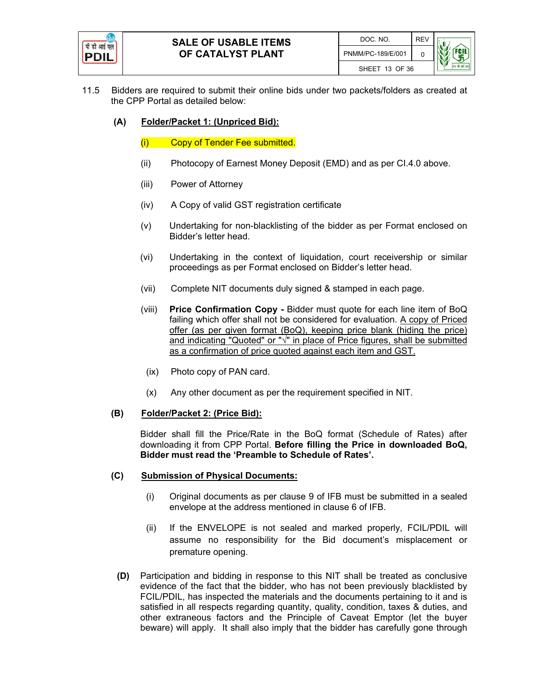

- 11.5 Bidders are required to submit their online bids under two packets/folders as created at the CPP Portal as detailed below:
	- **(A) Folder/Packet 1: (Unpriced Bid):**
		- (i) Copy of Tender Fee submitted.
		- (ii) Photocopy of Earnest Money Deposit (EMD) and as per CI.4.0 above.
		- (iii) Power of Attorney
		- (iv) A Copy of valid GST registration certificate
		- (v) Undertaking for non-blacklisting of the bidder as per Format enclosed on Bidder's letter head.
		- (vi) Undertaking in the context of liquidation, court receivership or similar proceedings as per Format enclosed on Bidder's letter head.
		- (vii) Complete NIT documents duly signed & stamped in each page.
		- (viii) **Price Confirmation Copy -** Bidder must quote for each line item of BoQ failing which offer shall not be considered for evaluation. A copy of Priced offer (as per given format (BoQ), keeping price blank (hiding the price) and indicating "Quoted" or "√" in place of Price figures, shall be submitted as a confirmation of price quoted against each item and GST.
		- (ix) Photo copy of PAN card.
		- (x) Any other document as per the requirement specified in NIT.

#### **(B) Folder/Packet 2: (Price Bid):**

Bidder shall fill the Price/Rate in the BoQ format (Schedule of Rates) after downloading it from CPP Portal. **Before filling the Price in downloaded BoQ, Bidder must read the 'Preamble to Schedule of Rates'.**

#### **(C) Submission of Physical Documents:**

- (i) Original documents as per clause 9 of IFB must be submitted in a sealed envelope at the address mentioned in clause 6 of IFB.
- (ii) If the ENVELOPE is not sealed and marked properly, FCIL/PDIL will assume no responsibility for the Bid document's misplacement or premature opening.
- **(D)** Participation and bidding in response to this NIT shall be treated as conclusive evidence of the fact that the bidder, who has not been previously blacklisted by FCIL/PDIL, has inspected the materials and the documents pertaining to it and is satisfied in all respects regarding quantity, quality, condition, taxes & duties, and other extraneous factors and the Principle of Caveat Emptor (let the buyer beware) will apply. It shall also imply that the bidder has carefully gone through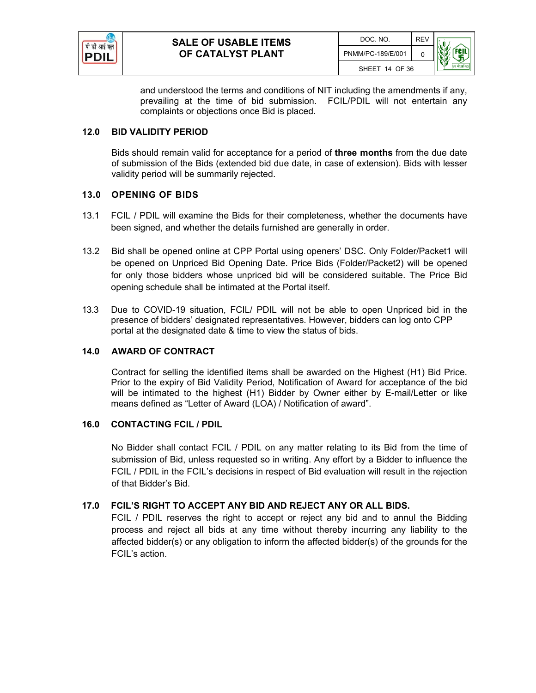

and understood the terms and conditions of NIT including the amendments if any, prevailing at the time of bid submission. FCIL/PDIL will not entertain any complaints or objections once Bid is placed.

#### **12.0 BID VALIDITY PERIOD**

Bids should remain valid for acceptance for a period of **three months** from the due date of submission of the Bids (extended bid due date, in case of extension). Bids with lesser validity period will be summarily rejected.

#### **13.0 OPENING OF BIDS**

- 13.1 FCIL / PDIL will examine the Bids for their completeness, whether the documents have been signed, and whether the details furnished are generally in order.
- 13.2 Bid shall be opened online at CPP Portal using openers' DSC. Only Folder/Packet1 will be opened on Unpriced Bid Opening Date. Price Bids (Folder/Packet2) will be opened for only those bidders whose unpriced bid will be considered suitable. The Price Bid opening schedule shall be intimated at the Portal itself.
- 13.3 Due to COVID-19 situation, FCIL/ PDIL will not be able to open Unpriced bid in the presence of bidders' designated representatives. However, bidders can log onto CPP portal at the designated date & time to view the status of bids.

#### **14.0 AWARD OF CONTRACT**

Contract for selling the identified items shall be awarded on the Highest (H1) Bid Price. Prior to the expiry of Bid Validity Period, Notification of Award for acceptance of the bid will be intimated to the highest (H1) Bidder by Owner either by E-mail/Letter or like means defined as "Letter of Award (LOA) / Notification of award".

#### **16.0 CONTACTING FCIL / PDIL**

No Bidder shall contact FCIL / PDIL on any matter relating to its Bid from the time of submission of Bid, unless requested so in writing. Any effort by a Bidder to influence the FCIL / PDIL in the FCIL's decisions in respect of Bid evaluation will result in the rejection of that Bidder's Bid.

#### **17.0 FCIL'S RIGHT TO ACCEPT ANY BID AND REJECT ANY OR ALL BIDS.**

FCIL / PDIL reserves the right to accept or reject any bid and to annul the Bidding process and reject all bids at any time without thereby incurring any liability to the affected bidder(s) or any obligation to inform the affected bidder(s) of the grounds for the FCIL's action.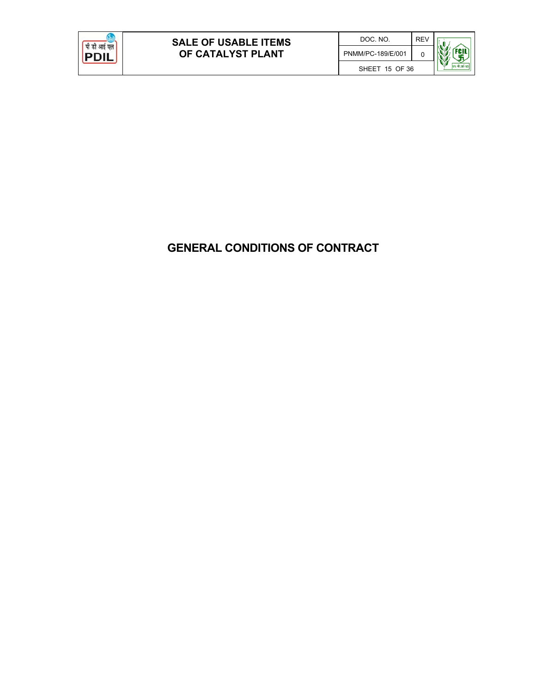

## **GENERAL CONDITIONS OF CONTRACT**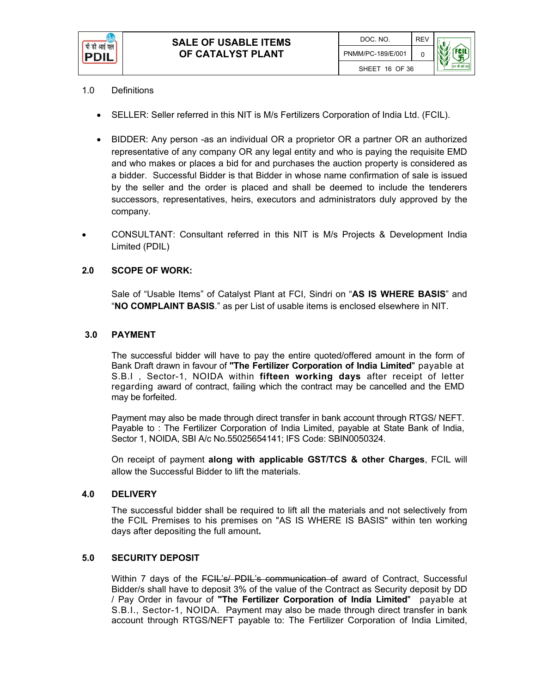

#### 1.0 Definitions

- SELLER: Seller referred in this NIT is M/s Fertilizers Corporation of India Ltd. (FCIL).
- BIDDER: Any person -as an individual OR a proprietor OR a partner OR an authorized representative of any company OR any legal entity and who is paying the requisite EMD and who makes or places a bid for and purchases the auction property is considered as a bidder. Successful Bidder is that Bidder in whose name confirmation of sale is issued by the seller and the order is placed and shall be deemed to include the tenderers successors, representatives, heirs, executors and administrators duly approved by the company.
- CONSULTANT: Consultant referred in this NIT is M/s Projects & Development India Limited (PDIL)

#### **2.0 SCOPE OF WORK:**

Sale of "Usable Items" of Catalyst Plant at FCI, Sindri on "**AS IS WHERE BASIS**" and "**NO COMPLAINT BASIS**." as per List of usable items is enclosed elsewhere in NIT.

#### **3.0 PAYMENT**

The successful bidder will have to pay the entire quoted/offered amount in the form of Bank Draft drawn in favour of **"The Fertilizer Corporation of India Limited**" payable at S.B.I , Sector-1, NOIDA within **fifteen working days** after receipt of letter regarding award of contract, failing which the contract may be cancelled and the EMD may be forfeited.

Payment may also be made through direct transfer in bank account through RTGS/ NEFT. Payable to : The Fertilizer Corporation of India Limited, payable at State Bank of India, Sector 1, NOIDA, SBI A/c No.55025654141; IFS Code: SBIN0050324.

On receipt of payment **along with applicable GST/TCS & other Charges**, FCIL will allow the Successful Bidder to lift the materials.

#### **4.0 DELIVERY**

The successful bidder shall be required to lift all the materials and not selectively from the FCIL Premises to his premises on "AS IS WHERE IS BASIS" within ten working days after depositing the full amount**.** 

#### **5.0 SECURITY DEPOSIT**

Within 7 days of the **FCIL's/ PDIL's communication of** award of Contract, Successful Bidder/s shall have to deposit 3% of the value of the Contract as Security deposit by DD / Pay Order in favour of **"The Fertilizer Corporation of India Limited**" payable at S.B.I., Sector-1, NOIDA. Payment may also be made through direct transfer in bank account through RTGS/NEFT payable to: The Fertilizer Corporation of India Limited,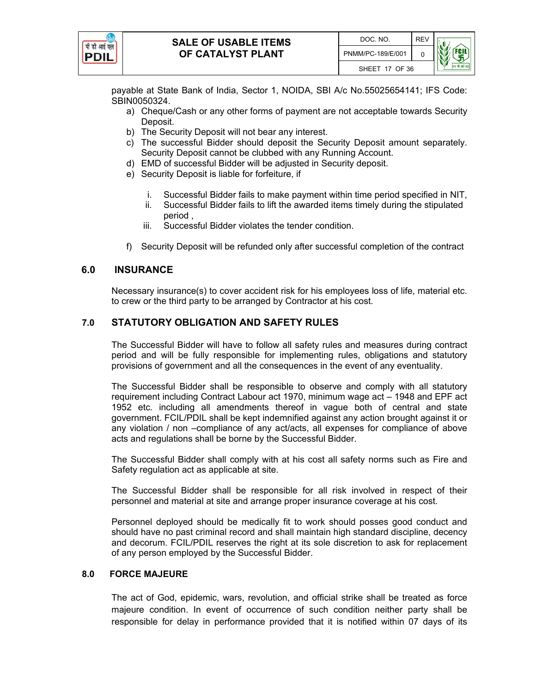

payable at State Bank of India, Sector 1, NOIDA, SBI A/c No.55025654141; IFS Code: SBIN0050324.

- a) Cheque/Cash or any other forms of payment are not acceptable towards Security Deposit.
- b) The Security Deposit will not bear any interest.
- c) The successful Bidder should deposit the Security Deposit amount separately. Security Deposit cannot be clubbed with any Running Account.
- d) EMD of successful Bidder will be adjusted in Security deposit.
- e) Security Deposit is liable for forfeiture, if
	- i. Successful Bidder fails to make payment within time period specified in NIT,
	- ii. Successful Bidder fails to lift the awarded items timely during the stipulated period ,
	- iii. Successful Bidder violates the tender condition.
- f) Security Deposit will be refunded only after successful completion of the contract

#### **6.0 INSURANCE**

Necessary insurance(s) to cover accident risk for his employees loss of life, material etc. to crew or the third party to be arranged by Contractor at his cost.

#### **7.0 STATUTORY OBLIGATION AND SAFETY RULES**

The Successful Bidder will have to follow all safety rules and measures during contract period and will be fully responsible for implementing rules, obligations and statutory provisions of government and all the consequences in the event of any eventuality.

The Successful Bidder shall be responsible to observe and comply with all statutory requirement including Contract Labour act 1970, minimum wage act – 1948 and EPF act 1952 etc. including all amendments thereof in vague both of central and state government. FCIL/PDIL shall be kept indemnified against any action brought against it or any violation / non –compliance of any act/acts, all expenses for compliance of above acts and regulations shall be borne by the Successful Bidder.

The Successful Bidder shall comply with at his cost all safety norms such as Fire and Safety regulation act as applicable at site.

The Successful Bidder shall be responsible for all risk involved in respect of their personnel and material at site and arrange proper insurance coverage at his cost.

Personnel deployed should be medically fit to work should posses good conduct and should have no past criminal record and shall maintain high standard discipline, decency and decorum. FCIL/PDIL reserves the right at its sole discretion to ask for replacement of any person employed by the Successful Bidder.

#### **8.0 FORCE MAJEURE**

The act of God, epidemic, wars, revolution, and official strike shall be treated as force majeure condition. In event of occurrence of such condition neither party shall be responsible for delay in performance provided that it is notified within 07 days of its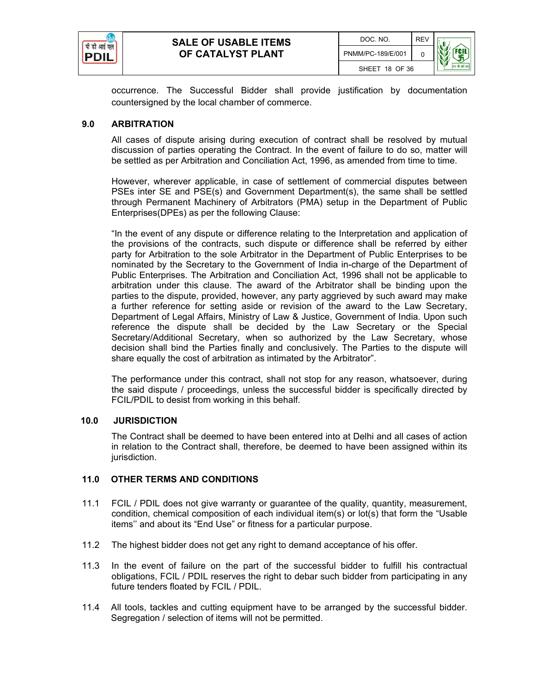

occurrence. The Successful Bidder shall provide justification by documentation countersigned by the local chamber of commerce.

#### **9.0 ARBITRATION**

All cases of dispute arising during execution of contract shall be resolved by mutual discussion of parties operating the Contract. In the event of failure to do so, matter will be settled as per Arbitration and Conciliation Act, 1996, as amended from time to time.

However, wherever applicable, in case of settlement of commercial disputes between PSEs inter SE and PSE(s) and Government Department(s), the same shall be settled through Permanent Machinery of Arbitrators (PMA) setup in the Department of Public Enterprises(DPEs) as per the following Clause:

"In the event of any dispute or difference relating to the Interpretation and application of the provisions of the contracts, such dispute or difference shall be referred by either party for Arbitration to the sole Arbitrator in the Department of Public Enterprises to be nominated by the Secretary to the Government of India in-charge of the Department of Public Enterprises. The Arbitration and Conciliation Act, 1996 shall not be applicable to arbitration under this clause. The award of the Arbitrator shall be binding upon the parties to the dispute, provided, however, any party aggrieved by such award may make a further reference for setting aside or revision of the award to the Law Secretary, Department of Legal Affairs, Ministry of Law & Justice, Government of India. Upon such reference the dispute shall be decided by the Law Secretary or the Special Secretary/Additional Secretary, when so authorized by the Law Secretary, whose decision shall bind the Parties finally and conclusively. The Parties to the dispute will share equally the cost of arbitration as intimated by the Arbitrator".

The performance under this contract, shall not stop for any reason, whatsoever, during the said dispute / proceedings, unless the successful bidder is specifically directed by FCIL/PDIL to desist from working in this behalf.

#### **10.0 JURISDICTION**

The Contract shall be deemed to have been entered into at Delhi and all cases of action in relation to the Contract shall, therefore, be deemed to have been assigned within its jurisdiction.

#### **11.0 OTHER TERMS AND CONDITIONS**

- 11.1 FCIL / PDIL does not give warranty or guarantee of the quality, quantity, measurement, condition, chemical composition of each individual item(s) or lot(s) that form the "Usable items'' and about its "End Use" or fitness for a particular purpose.
- 11.2 The highest bidder does not get any right to demand acceptance of his offer.
- 11.3 In the event of failure on the part of the successful bidder to fulfill his contractual obligations, FCIL / PDIL reserves the right to debar such bidder from participating in any future tenders floated by FCIL / PDIL.
- 11.4 All tools, tackles and cutting equipment have to be arranged by the successful bidder. Segregation / selection of items will not be permitted.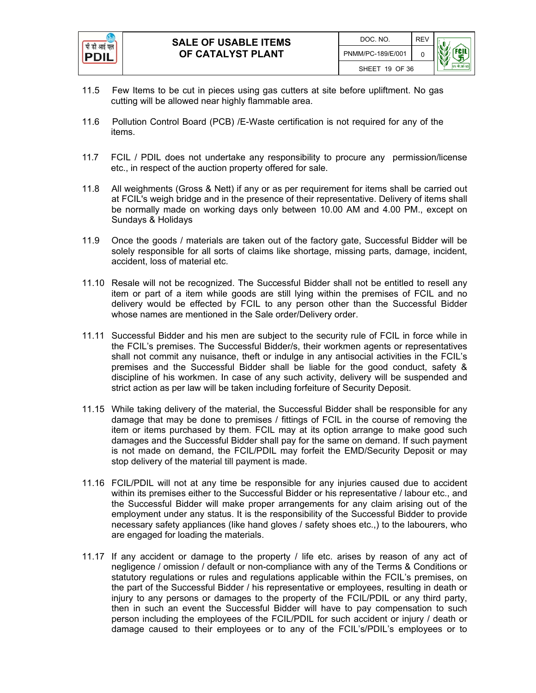

- 11.5 Few Items to be cut in pieces using gas cutters at site before upliftment. No gas cutting will be allowed near highly flammable area.
- 11.6 Pollution Control Board (PCB) /E-Waste certification is not required for any of the items.
- 11.7 FCIL / PDIL does not undertake any responsibility to procure any permission/license etc., in respect of the auction property offered for sale.
- 11.8 All weighments (Gross & Nett) if any or as per requirement for items shall be carried out at FCIL's weigh bridge and in the presence of their representative. Delivery of items shall be normally made on working days only between 10.00 AM and 4.00 PM., except on Sundays & Holidays
- 11.9 Once the goods / materials are taken out of the factory gate, Successful Bidder will be solely responsible for all sorts of claims like shortage, missing parts, damage, incident, accident, loss of material etc.
- 11.10 Resale will not be recognized. The Successful Bidder shall not be entitled to resell any item or part of a item while goods are still lying within the premises of FCIL and no delivery would be effected by FCIL to any person other than the Successful Bidder whose names are mentioned in the Sale order/Delivery order.
- 11.11 Successful Bidder and his men are subject to the security rule of FCIL in force while in the FCIL's premises. The Successful Bidder/s, their workmen agents or representatives shall not commit any nuisance, theft or indulge in any antisocial activities in the FCIL's premises and the Successful Bidder shall be liable for the good conduct, safety & discipline of his workmen. In case of any such activity, delivery will be suspended and strict action as per law will be taken including forfeiture of Security Deposit.
- 11.15 While taking delivery of the material, the Successful Bidder shall be responsible for any damage that may be done to premises / fittings of FCIL in the course of removing the item or items purchased by them. FCIL may at its option arrange to make good such damages and the Successful Bidder shall pay for the same on demand. If such payment is not made on demand, the FCIL/PDIL may forfeit the EMD/Security Deposit or may stop delivery of the material till payment is made.
- 11.16 FCIL/PDIL will not at any time be responsible for any injuries caused due to accident within its premises either to the Successful Bidder or his representative / labour etc., and the Successful Bidder will make proper arrangements for any claim arising out of the employment under any status. It is the responsibility of the Successful Bidder to provide necessary safety appliances (like hand gloves / safety shoes etc.,) to the labourers, who are engaged for loading the materials.
- 11.17 If any accident or damage to the property / life etc. arises by reason of any act of negligence / omission / default or non-compliance with any of the Terms & Conditions or statutory regulations or rules and regulations applicable within the FCIL's premises, on the part of the Successful Bidder / his representative or employees, resulting in death or injury to any persons or damages to the property of the FCIL/PDIL or any third party, then in such an event the Successful Bidder will have to pay compensation to such person including the employees of the FCIL/PDIL for such accident or injury / death or damage caused to their employees or to any of the FCIL's/PDIL's employees or to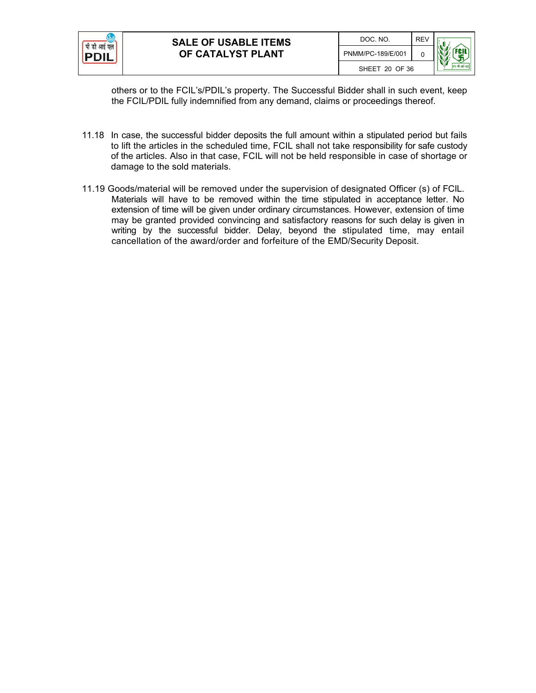

others or to the FCIL's/PDIL's property. The Successful Bidder shall in such event, keep the FCIL/PDIL fully indemnified from any demand, claims or proceedings thereof.

- 11.18 In case, the successful bidder deposits the full amount within a stipulated period but fails to lift the articles in the scheduled time, FCIL shall not take responsibility for safe custody of the articles. Also in that case, FCIL will not be held responsible in case of shortage or damage to the sold materials.
- 11.19 Goods/material will be removed under the supervision of designated Officer (s) of FCIL. Materials will have to be removed within the time stipulated in acceptance letter. No extension of time will be given under ordinary circumstances. However, extension of time may be granted provided convincing and satisfactory reasons for such delay is given in writing by the successful bidder. Delay, beyond the stipulated time, may entail cancellation of the award/order and forfeiture of the EMD/Security Deposit.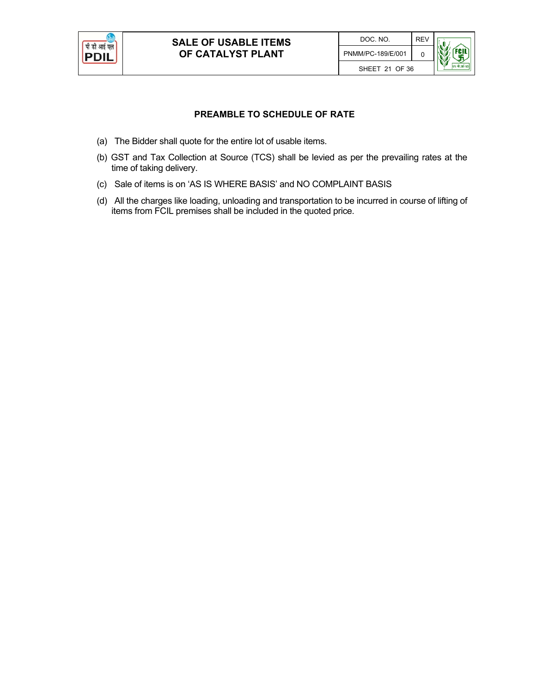

### **PREAMBLE TO SCHEDULE OF RATE**

- (a) The Bidder shall quote for the entire lot of usable items.
- (b) GST and Tax Collection at Source (TCS) shall be levied as per the prevailing rates at the time of taking delivery.
- (c) Sale of items is on 'AS IS WHERE BASIS' and NO COMPLAINT BASIS
- (d) All the charges like loading, unloading and transportation to be incurred in course of lifting of items from FCIL premises shall be included in the quoted price.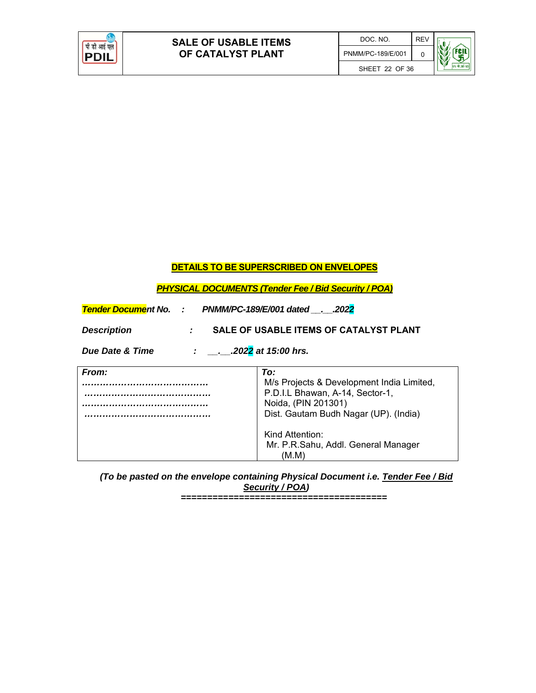

## **DETAILS TO BE SUPERSCRIBED ON ENVELOPES**

#### *PHYSICAL DOCUMENTS (Tender Fee / Bid Security / POA)*

| <b>Tender Document No. : PNMM/PC-189/E/001 dated2022</b>          |                                                                                                                                                                                                                        |  |  |
|-------------------------------------------------------------------|------------------------------------------------------------------------------------------------------------------------------------------------------------------------------------------------------------------------|--|--|
| SALE OF USABLE ITEMS OF CATALYST PLANT<br><b>Description</b><br>÷ |                                                                                                                                                                                                                        |  |  |
| $\therefore$ 2022 at 15:00 hrs.<br><b>Due Date &amp; Time</b>     |                                                                                                                                                                                                                        |  |  |
| From:                                                             | To:<br>M/s Projects & Development India Limited,<br>P.D.I.L Bhawan, A-14, Sector-1,<br>Noida, (PIN 201301)<br>Dist. Gautam Budh Nagar (UP). (India)<br>Kind Attention:<br>Mr. P.R.Sahu, Addl. General Manager<br>(M.M) |  |  |

*(To be pasted on the envelope containing Physical Document i.e. Tender Fee / Bid Security / POA) =======================================*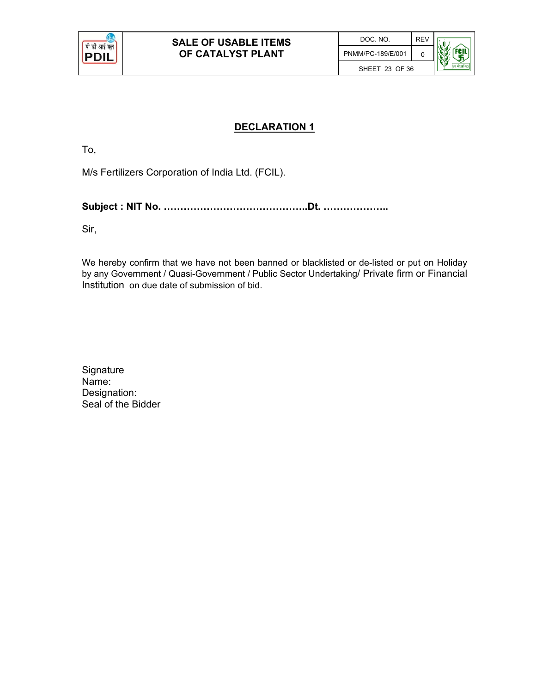

## **DECLARATION 1**

To,

M/s Fertilizers Corporation of India Ltd. (FCIL).

**Subject : NIT No. ……………………………………..Dt. ………………..** 

Sir,

We hereby confirm that we have not been banned or blacklisted or de-listed or put on Holiday by any Government / Quasi-Government / Public Sector Undertaking/ Private firm or Financial Institution on due date of submission of bid.

| Signature          |
|--------------------|
| Name:              |
| Designation:       |
| Seal of the Bidder |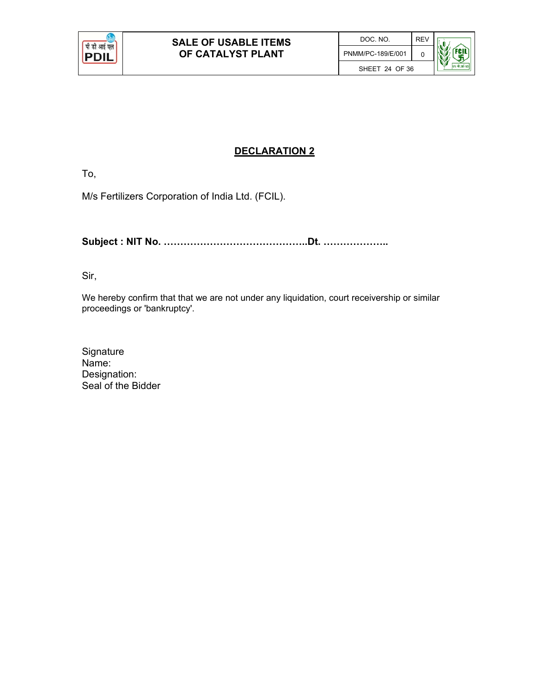

## **DECLARATION 2**

To,

M/s Fertilizers Corporation of India Ltd. (FCIL).

**Subject : NIT No. ……………………………………..Dt. ………………..** 

Sir,

We hereby confirm that that we are not under any liquidation, court receivership or similar proceedings or 'bankruptcy'.

**Signature** Name: Designation: Seal of the Bidder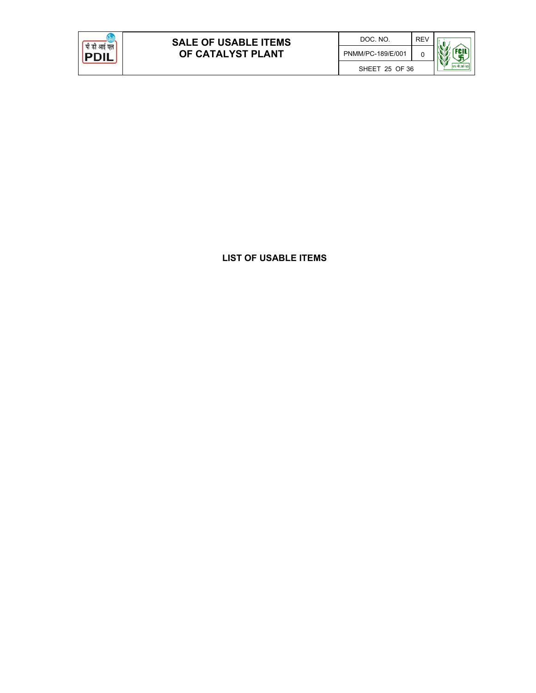

**LIST OF USABLE ITEMS**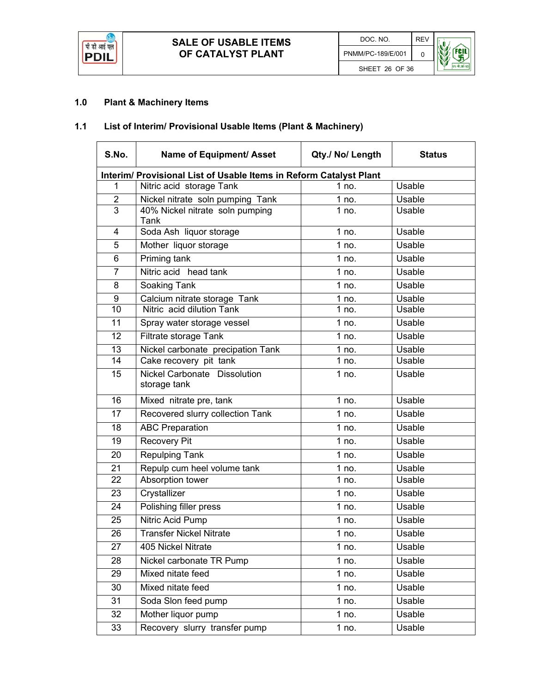

## **1.0 Plant & Machinery Items**

## **1.1 List of Interim/ Provisional Usable Items (Plant & Machinery)**

| S.No.                                                              | Name of Equipment/ Asset                     | Qty./ No/ Length | <b>Status</b> |  |
|--------------------------------------------------------------------|----------------------------------------------|------------------|---------------|--|
| Interim/ Provisional List of Usable Items in Reform Catalyst Plant |                                              |                  |               |  |
| 1                                                                  | Nitric acid storage Tank                     | 1 no.            | Usable        |  |
| $\overline{2}$                                                     | Nickel nitrate soln pumping Tank             | 1 no.            | Usable        |  |
| $\overline{3}$                                                     | 40% Nickel nitrate soln pumping<br>Tank      | 1 no.            | Usable        |  |
| 4                                                                  | Soda Ash liquor storage                      | 1 no.            | Usable        |  |
| 5                                                                  | Mother liquor storage                        | 1 no.            | Usable        |  |
| 6                                                                  | Priming tank                                 | 1 no.            | Usable        |  |
| $\overline{7}$                                                     | Nitric acid head tank                        | 1 no.            | Usable        |  |
| 8                                                                  | Soaking Tank                                 | 1 no.            | Usable        |  |
| 9                                                                  | Calcium nitrate storage Tank                 | $1$ no.          | Usable        |  |
| 10                                                                 | Nitric acid dilution Tank                    | 1 no.            | Usable        |  |
| 11                                                                 | Spray water storage vessel                   | 1 no.            | Usable        |  |
| 12                                                                 | Filtrate storage Tank                        | 1 $no$ .         | Usable        |  |
| 13                                                                 | Nickel carbonate precipation Tank            | 1 no.            | Usable        |  |
| 14                                                                 | Cake recovery pit tank                       | 1 no.            | Usable        |  |
| 15                                                                 | Nickel Carbonate Dissolution<br>storage tank | 1 no.            | Usable        |  |
| 16                                                                 | Mixed nitrate pre, tank                      | 1 no.            | Usable        |  |
| 17                                                                 | Recovered slurry collection Tank             | 1 no.            | Usable        |  |
| 18                                                                 | <b>ABC Preparation</b>                       | 1 no.            | Usable        |  |
| 19                                                                 | <b>Recovery Pit</b>                          | 1 no.            | Usable        |  |
| 20                                                                 | Repulping Tank                               | 1 no.            | Usable        |  |
| 21                                                                 | Repulp cum heel volume tank                  | 1 no.            | Usable        |  |
| 22                                                                 | Absorption tower                             | 1 no.            | Usable        |  |
| 23                                                                 | Crystallizer                                 | 1 no.            | Usable        |  |
| 24                                                                 | Polishing filler press                       | 1 no.            | Usable        |  |
| 25                                                                 | <b>Nitric Acid Pump</b>                      | 1 no.            | Usable        |  |
| 26                                                                 | <b>Transfer Nickel Nitrate</b>               | 1 no.            | Usable        |  |
| 27                                                                 | 405 Nickel Nitrate                           | 1 no.            | Usable        |  |
| 28                                                                 | Nickel carbonate TR Pump                     | 1 no.            | Usable        |  |
| 29                                                                 | Mixed nitate feed                            | 1 no.            | Usable        |  |
| 30                                                                 | Mixed nitate feed                            | 1 no.            | Usable        |  |
| 31                                                                 | Soda Slon feed pump                          | 1 no.            | Usable        |  |
| 32                                                                 | Mother liquor pump                           | 1 no.            | Usable        |  |
| 33                                                                 | Recovery slurry transfer pump                | 1 no.            | Usable        |  |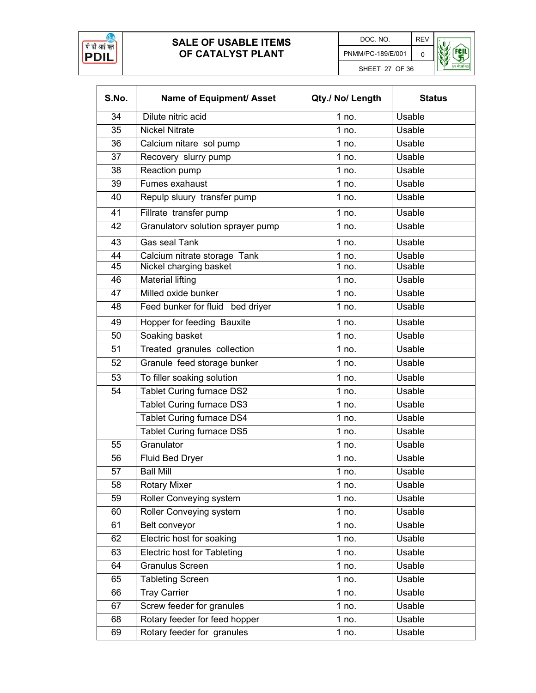

DOC. NO. REV PNMM/PC-189/E/001 0 SHEET 27 OF 36



| S.No. | Name of Equipment/ Asset          | Qty./ No/ Length | <b>Status</b> |
|-------|-----------------------------------|------------------|---------------|
| 34    | Dilute nitric acid                | 1 no.            | Usable        |
| 35    | <b>Nickel Nitrate</b>             | 1 $no$ .         | Usable        |
| 36    | Calcium nitare sol pump           | 1 no.            | Usable        |
| 37    | Recovery slurry pump              | 1 no.            | Usable        |
| 38    | Reaction pump                     | 1 no.            | <b>Usable</b> |
| 39    | Fumes exahaust                    | 1 no.            | Usable        |
| 40    | Repulp sluury transfer pump       | 1 no.            | Usable        |
| 41    | Fillrate transfer pump            | 1 no.            | Usable        |
| 42    | Granulatorv solution sprayer pump | 1 no.            | Usable        |
| 43    | <b>Gas seal Tank</b>              | 1 no.            | Usable        |
| 44    | Calcium nitrate storage Tank      | $1$ no.          | Usable        |
| 45    | Nickel charging basket            | 1 no.            | <b>Usable</b> |
| 46    | <b>Material lifting</b>           | 1 no.            | Usable        |
| 47    | Milled oxide bunker               | 1 no.            | Usable        |
| 48    | Feed bunker for fluid bed driver  | 1 no.            | Usable        |
| 49    | <b>Hopper for feeding Bauxite</b> | 1 no.            | Usable        |
| 50    | Soaking basket                    | 1 no.            | Usable        |
| 51    | Treated granules collection       | 1 no.            | Usable        |
| 52    | Granule feed storage bunker       | 1 no.            | Usable        |
| 53    | To filler soaking solution        | 1 no.            | Usable        |
| 54    | Tablet Curing furnace DS2         | 1 no.            | Usable        |
|       | <b>Tablet Curing furnace DS3</b>  | 1 no.            | Usable        |
|       | <b>Tablet Curing furnace DS4</b>  | 1 no.            | Usable        |
|       | <b>Tablet Curing furnace DS5</b>  | 1 no.            | Usable        |
| 55    | Granulator                        | 1 no.            | Usable        |
| 56    | <b>Fluid Bed Dryer</b>            | $1$ no.          | Usable        |
| 57    | <b>Ball Mill</b>                  | 1 no.            | Usable        |
| 58    | <b>Rotary Mixer</b>               | 1 no.            | Usable        |
| 59    | Roller Conveying system           | 1 no.            | Usable        |
| 60    | Roller Conveying system           | 1 no.            | Usable        |
| 61    | Belt conveyor                     | 1 no.            | Usable        |
| 62    | Electric host for soaking         | 1 no.            | <b>Usable</b> |
| 63    | Electric host for Tableting       | 1 no.            | Usable        |
| 64    | <b>Granulus Screen</b>            | 1 no.            | Usable        |
| 65    | <b>Tableting Screen</b>           | 1 no.            | Usable        |
| 66    | <b>Tray Carrier</b>               | $1$ no.          | Usable        |
| 67    | Screw feeder for granules         | 1 no.            | Usable        |
| 68    | Rotary feeder for feed hopper     | 1 no.            | Usable        |
| 69    | Rotary feeder for granules        | 1 no.            | Usable        |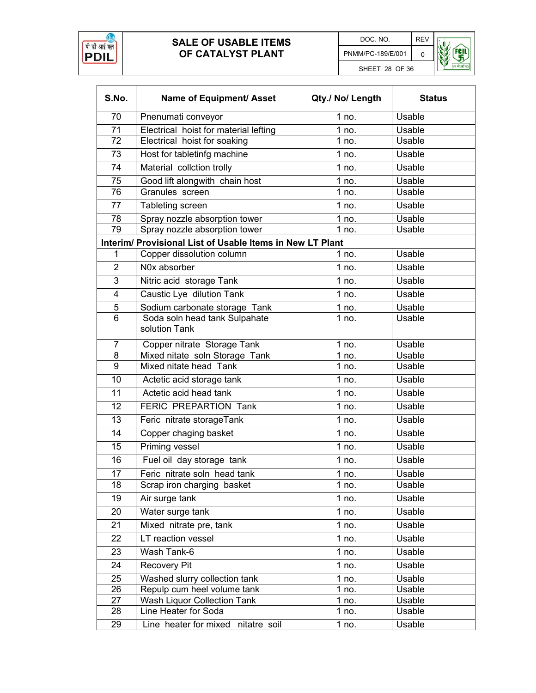



| S.No.          | Name of Equipment/ Asset                                  | Qty./ No/ Length | <b>Status</b> |
|----------------|-----------------------------------------------------------|------------------|---------------|
| 70             | Pnenumati conveyor                                        | 1 no.            | Usable        |
| 71             | Electrical hoist for material lefting                     | 1 no.            | Usable        |
| 72             | Electrical hoist for soaking                              | 1 no.            | Usable        |
| 73             | Host for tabletinfg machine                               | 1 no.            | Usable        |
| 74             | Material collction trolly                                 | 1 no.            | Usable        |
| 75             | Good lift alongwith chain host                            | 1 no.            | Usable        |
| 76             | Granules screen                                           | 1 no.            | Usable        |
| 77             | Tableting screen                                          | 1 no.            | Usable        |
| 78             | Spray nozzle absorption tower                             | 1 no.            | Usable        |
| 79             | Spray nozzle absorption tower                             | 1 no.            | Usable        |
|                | Interim/ Provisional List of Usable Items in New LT Plant |                  |               |
| 1              | Copper dissolution column                                 | 1 no.            | Usable        |
| $\overline{2}$ | N0x absorber                                              | 1 no.            | Usable        |
| 3              | Nitric acid storage Tank                                  | 1 no.            | Usable        |
| 4              | Caustic Lye dilution Tank                                 | 1 no.            | Usable        |
| 5              | Sodium carbonate storage Tank                             | 1 no.            | Usable        |
| 6              | Soda soln head tank Sulpahate<br>solution Tank            | 1 no.            | Usable        |
| 7              | Copper nitrate Storage Tank                               | 1 no.            | Usable        |
| 8              | Mixed nitate soln Storage Tank                            | 1 no.            | Usable        |
| 9              | Mixed nitate head Tank                                    | 1 no.            | Usable        |
| 10             | Actetic acid storage tank                                 | 1 no.            | Usable        |
| 11             | Actetic acid head tank                                    | 1 no.            | Usable        |
| 12             | FERIC PREPARTION Tank                                     | 1 no.            | Usable        |
| 13             | Feric nitrate storageTank                                 | 1 no.            | Usable        |
| 14             | Copper chaging basket                                     | 1 no.            | <b>Usable</b> |
| 15             | Priming vessel                                            | 1 no.            | Usable        |
| 16             | Fuel oil day storage tank                                 | 1 no.            | Usable        |
| 17             | Feric nitrate soln head tank                              | 1 no.            | Usable        |
| 18             | Scrap iron charging basket                                | 1 no.            | Usable        |
| 19             | Air surge tank                                            | 1 no.            | Usable        |
| 20             | Water surge tank                                          | 1 no.            | Usable        |
| 21             | Mixed nitrate pre, tank                                   | 1 no.            | Usable        |
| 22             | LT reaction vessel                                        | 1 no.            | Usable        |
| 23             | Wash Tank-6                                               | 1 no.            | Usable        |
| 24             | Recovery Pit                                              | 1 no.            | Usable        |
| 25             | Washed slurry collection tank                             | 1 no.            | Usable        |
| 26             | Repulp cum heel volume tank                               | 1 no.            | Usable        |
| 27             | Wash Liquor Collection Tank                               | 1 no.            | Usable        |
| 28             | Line Heater for Soda                                      | 1 no.            | Usable        |
| 29             | Line heater for mixed nitatre soil                        | 1 no.            | Usable        |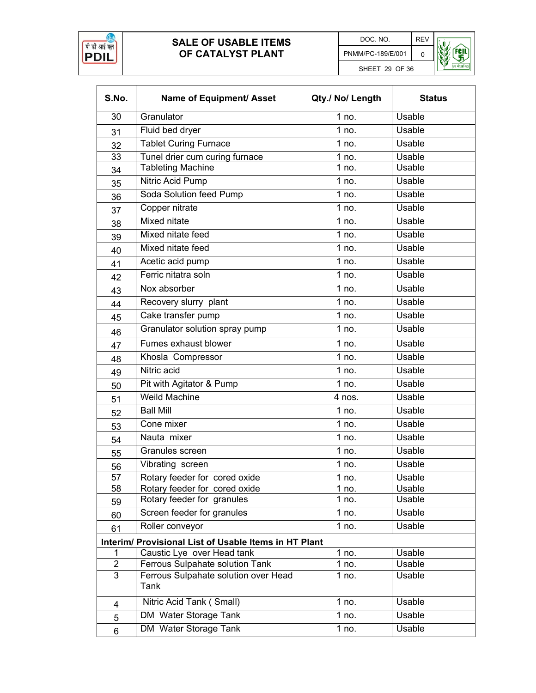



| S.No.           | Name of Equipment/ Asset                              | Qty./ No/ Length | <b>Status</b> |
|-----------------|-------------------------------------------------------|------------------|---------------|
| 30              | Granulator                                            | 1 no.            | Usable        |
| 31              | Fluid bed dryer                                       | 1 no.            | Usable        |
| 32              | Tablet Curing Furnace                                 | 1 no.            | Usable        |
| 33              | Tunel drier cum curing furnace                        | 1 no.            | Usable        |
| 34              | <b>Tableting Machine</b>                              | 1 no.            | Usable        |
| 35              | Nitric Acid Pump                                      | 1 no.            | <b>Usable</b> |
| 36              | Soda Solution feed Pump                               | 1 no.            | Usable        |
| 37              | Copper nitrate                                        | 1 no.            | Usable        |
| 38              | Mixed nitate                                          | 1 no.            | Usable        |
| 39              | Mixed nitate feed                                     | 1 no.            | Usable        |
| 40              | Mixed nitate feed                                     | 1 no.            | Usable        |
| 41              | Acetic acid pump                                      | 1 no.            | Usable        |
| 42              | Ferric nitatra soln                                   | 1 no.            | Usable        |
|                 | Nox absorber                                          | 1 no.            | Usable        |
| 43              | Recovery slurry plant                                 | 1 no.            | <b>Usable</b> |
| 44              | Cake transfer pump                                    | 1 no.            | Usable        |
| 45              |                                                       | 1 no.            | Usable        |
| 46              | Granulator solution spray pump                        |                  |               |
| 47              | Fumes exhaust blower                                  | 1 no.            | Usable        |
| 48              | Khosla Compressor                                     | 1 no.            | Usable        |
| 49              | Nitric acid                                           | 1 no.            | <b>Usable</b> |
| 50              | Pit with Agitator & Pump                              | 1 no.            | Usable        |
| 51              | <b>Weild Machine</b>                                  | 4 nos.           | Usable        |
| 52              | <b>Ball Mill</b>                                      | 1 no.            | Usable        |
| 53              | Cone mixer                                            | 1 no.            | Usable        |
| 54              | Nauta mixer                                           | 1 no.            | Usable        |
| 55              | Granules screen                                       | 1 no.            | Usable        |
| 56              | Vibrating screen                                      | $1$ no.          | Usable        |
| $\overline{57}$ | Rotary feeder for cored oxide                         | 1 no.            | <b>Usable</b> |
| 58              | Rotary feeder for cored oxide                         | 1 no.            | Usable        |
| 59              | Rotary feeder for granules                            | 1 no.            | Usable        |
| 60              | Screen feeder for granules                            | 1 no.            | Usable        |
| 61              | Roller conveyor                                       | 1 no.            | Usable        |
|                 | Interim/ Provisional List of Usable Items in HT Plant |                  |               |
| 1               | Caustic Lye over Head tank                            | 1 no.            | Usable        |
| $\overline{2}$  | Ferrous Sulpahate solution Tank                       | 1 no.            | Usable        |
| 3               | Ferrous Sulpahate solution over Head<br>Tank          | 1 no.            | Usable        |
| 4               | Nitric Acid Tank (Small)                              | 1 no.            | Usable        |
| 5               | DM Water Storage Tank                                 | 1 no.            | Usable        |
| 6               | DM Water Storage Tank                                 | 1 no.            | Usable        |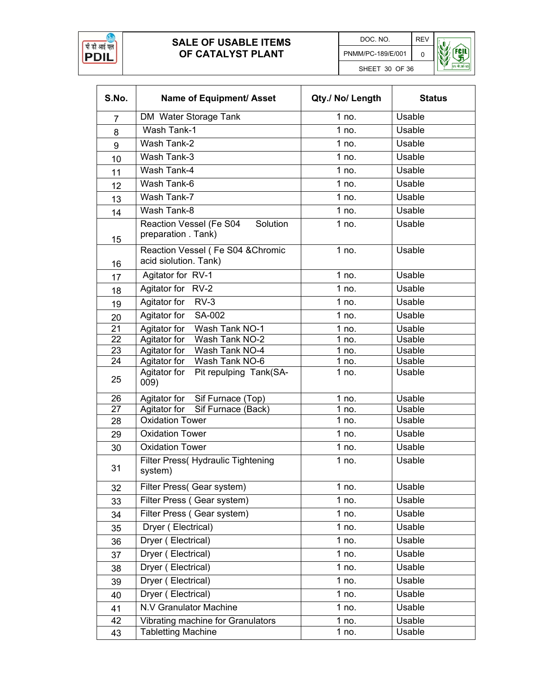



| S.No.          | Name of Equipment/ Asset                                       | Qty./ No/ Length | <b>Status</b>    |
|----------------|----------------------------------------------------------------|------------------|------------------|
| $\overline{7}$ | DM Water Storage Tank                                          | 1 no.            | Usable           |
| 8              | Wash Tank-1                                                    | 1 no.            | Usable           |
| 9              | Wash Tank-2                                                    | 1 no.            | Usable           |
| 10             | Wash Tank-3                                                    | 1 no.            | Usable           |
| 11             | Wash Tank-4                                                    | 1 no.            | Usable           |
| 12             | Wash Tank-6                                                    | 1 no.            | Usable           |
| 13             | Wash Tank-7                                                    | 1 no.            | <b>Usable</b>    |
| 14             | Wash Tank-8                                                    | 1 no.            | Usable           |
| 15             | Reaction Vessel (Fe S04<br>Solution<br>preparation . Tank)     | 1 no.            | Usable           |
| 16             | Reaction Vessel (Fe S04 & Chromic<br>acid siolution. Tank)     | 1 no.            | Usable           |
| 17             | Agitator for RV-1                                              | 1 no.            | Usable           |
| 18             | Agitator for RV-2                                              | 1 no.            | Usable           |
| 19             | Agitator for<br>$RV-3$                                         | 1 no.            | Usable           |
| 20             | Agitator for<br>SA-002                                         | 1 no.            | Usable           |
| 21             | Agitator for<br>Wash Tank NO-1                                 | $1$ no.          | <b>Usable</b>    |
| 22             | Agitator for<br>Wash Tank NO-2                                 | 1 no.            | Usable           |
| 23             | Agitator for<br>Wash Tank NO-4<br>Wash Tank NO-6               | 1 no.            | Usable<br>Usable |
| 24<br>25       | Agitator for<br>Agitator for<br>Pit repulping Tank(SA-<br>009) | 1 no.<br>1 no.   | Usable           |
| 26             | Agitator for Sif Furnace (Top)                                 | 1 no.            | Usable           |
| 27             | Agitator for<br>Sif Furnace (Back)                             | 1 no.            | Usable           |
| 28             | <b>Oxidation Tower</b>                                         | 1 no.            | Usable           |
| 29             | <b>Oxidation Tower</b>                                         | 1 no.            | Usable           |
| 30             | <b>Oxidation Tower</b>                                         | 1 no.            | Usable           |
| 31             | <b>Filter Press</b> (Hydraulic Tightening<br>system)           | 1 no.            | Usable           |
| 32             | Filter Press(Gear system)                                      | 1 no.            | Usable           |
| 33             | Filter Press (Gear system)                                     | 1 no.            | Usable           |
| 34             | Filter Press (Gear system)                                     | 1 no.            | Usable           |
| 35             | Dryer (Electrical)                                             | 1 no.            | Usable           |
| 36             | Dryer (Electrical)                                             | 1 no.            | Usable           |
| 37             | Dryer (Electrical)                                             | 1 no.            | Usable           |
| 38             | Dryer (Electrical)                                             | 1 no.            | Usable           |
| 39             | Dryer (Electrical)                                             | 1 no.            | Usable           |
| 40             | Dryer (Electrical)                                             | 1 no.            | Usable           |
| 41             | N.V Granulator Machine                                         | 1 no.            | Usable           |
| 42             | Vibrating machine for Granulators                              | 1 no.            | Usable           |
| 43             | <b>Tabletting Machine</b>                                      | 1 no.            | Usable           |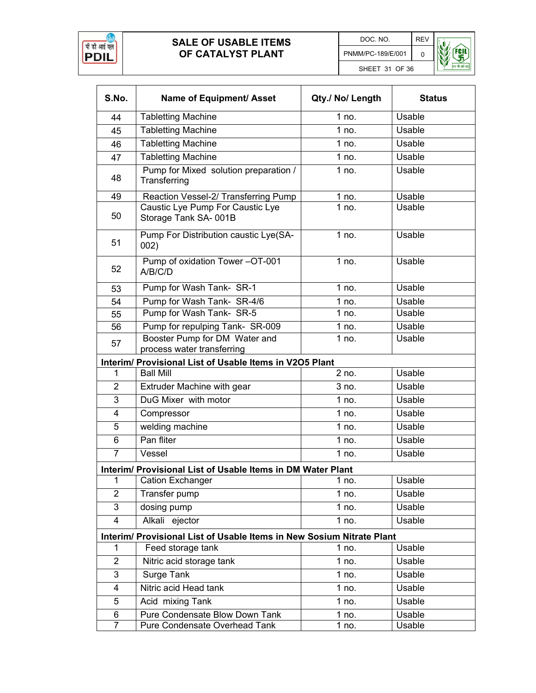



| S.No.                                                                 | Name of Equipment/ Asset                                    | Qty./ No/ Length | <b>Status</b> |  |
|-----------------------------------------------------------------------|-------------------------------------------------------------|------------------|---------------|--|
| 44                                                                    | <b>Tabletting Machine</b>                                   | 1 no.            | Usable        |  |
| 45                                                                    | <b>Tabletting Machine</b>                                   | 1 no.            | Usable        |  |
| 46                                                                    | <b>Tabletting Machine</b>                                   | 1 no.            | Usable        |  |
| 47                                                                    | <b>Tabletting Machine</b>                                   | 1 no.            | Usable        |  |
| 48                                                                    | Pump for Mixed solution preparation /<br>Transferring       | 1 no.            | Usable        |  |
| 49                                                                    | Reaction Vessel-2/ Transferring Pump                        | 1 no.            | Usable        |  |
| 50                                                                    | Caustic Lye Pump For Caustic Lye<br>Storage Tank SA-001B    | 1 no.            | Usable        |  |
| 51                                                                    | Pump For Distribution caustic Lye(SA-<br>002)               | 1 no.            | Usable        |  |
| 52                                                                    | Pump of oxidation Tower-OT-001<br>A/B/C/D                   | 1 no.            | Usable        |  |
| 53                                                                    | Pump for Wash Tank- SR-1                                    | 1 no.            | Usable        |  |
| 54                                                                    | Pump for Wash Tank- SR-4/6                                  | 1 no.            | Usable        |  |
| 55                                                                    | Pump for Wash Tank- SR-5                                    | 1 no.            | Usable        |  |
| 56                                                                    | Pump for repulping Tank- SR-009                             | 1 no.            | Usable        |  |
| 57                                                                    | Booster Pump for DM Water and<br>process water transferring | 1 no.            | Usable        |  |
|                                                                       | Interim/ Provisional List of Usable Items in V2O5 Plant     |                  |               |  |
| 1                                                                     | <b>Ball Mill</b>                                            | $2$ no.          | Usable        |  |
| $\overline{2}$                                                        | Extruder Machine with gear                                  | 3 no.            | Usable        |  |
| 3                                                                     | DuG Mixer with motor                                        | 1 no.            | Usable        |  |
| 4                                                                     | Compressor                                                  | 1 no.            | Usable        |  |
| 5                                                                     | welding machine                                             | 1 no.            | Usable        |  |
| 6                                                                     | Pan fliter                                                  | 1 no.            | Usable        |  |
| $\overline{7}$                                                        | Vessel                                                      | 1 no.            | Usable        |  |
|                                                                       | Interim/ Provisional List of Usable Items in DM Water Plant |                  |               |  |
| 1                                                                     | <b>Cation Exchanger</b>                                     | 1 no.            | Usable        |  |
| $\overline{2}$                                                        | Transfer pump                                               | 1 no.            | Usable        |  |
| 3                                                                     | dosing pump                                                 | 1 no.            | Usable        |  |
| 4                                                                     | Alkali ejector                                              | 1 no.            | Usable        |  |
| Interim/ Provisional List of Usable Items in New Sosium Nitrate Plant |                                                             |                  |               |  |
| 1                                                                     | Feed storage tank                                           | 1 no.            | Usable        |  |
| $\overline{2}$                                                        | Nitric acid storage tank                                    | 1 no.            | Usable        |  |
| 3                                                                     | Surge Tank                                                  | 1 no.            | Usable        |  |
| 4                                                                     | Nitric acid Head tank                                       | 1 no.            | Usable        |  |
| 5                                                                     | Acid mixing Tank                                            | 1 no.            | Usable        |  |
| 6                                                                     | Pure Condensate Blow Down Tank                              | 1 no.            | Usable        |  |
| $\overline{7}$                                                        | Pure Condensate Overhead Tank                               | 1 no.            | Usable        |  |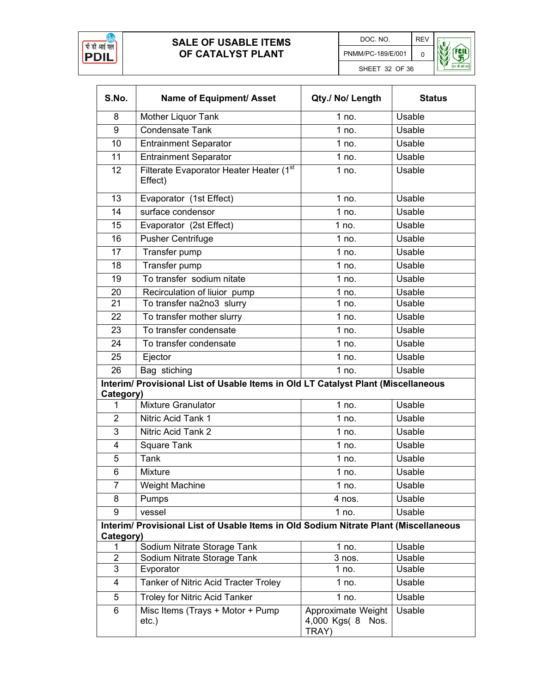



| S.No.          | Name of Equipment/ Asset                                                             | Qty./ No/ Length                                    | <b>Status</b> |  |  |
|----------------|--------------------------------------------------------------------------------------|-----------------------------------------------------|---------------|--|--|
| 8              | Mother Liquor Tank                                                                   | 1 no.                                               | Usable        |  |  |
| 9              | <b>Condensate Tank</b>                                                               | 1 no.                                               | Usable        |  |  |
| 10             | <b>Entrainment Separator</b>                                                         | 1 no.                                               | Usable        |  |  |
| 11             | <b>Entrainment Separator</b>                                                         | 1 no.                                               | Usable        |  |  |
| 12             | Filterate Evaporator Heater Heater (1st<br>Effect)                                   | 1 no.                                               | Usable        |  |  |
| 13             | Evaporator (1st Effect)                                                              | 1 no.                                               | Usable        |  |  |
| 14             | surface condensor                                                                    | 1 no.                                               | Usable        |  |  |
| 15             | Evaporator (2st Effect)                                                              | 1 no.                                               | Usable        |  |  |
| 16             | <b>Pusher Centrifuge</b>                                                             | 1 no.                                               | Usable        |  |  |
| 17             | Transfer pump                                                                        | 1 no.                                               | Usable        |  |  |
| 18             | Transfer pump                                                                        | 1 no.                                               | Usable        |  |  |
| 19             | To transfer sodium nitate                                                            | 1 no.                                               | Usable        |  |  |
| 20             | Recirculation of liuior pump                                                         | 1 no.                                               | Usable        |  |  |
| 21             | To transfer na2no3 slurry                                                            | 1 no.                                               | Usable        |  |  |
| 22             | To transfer mother slurry                                                            | 1 no.                                               | Usable        |  |  |
| 23             | To transfer condensate                                                               | 1 no.                                               | Usable        |  |  |
| 24             | To transfer condensate                                                               | 1 no.                                               | Usable        |  |  |
| 25             | Ejector                                                                              | 1 no.                                               | Usable        |  |  |
| 26             | Bag stiching                                                                         | 1 no.                                               | Usable        |  |  |
| Category)      | Interim/ Provisional List of Usable Items in Old LT Catalyst Plant (Miscellaneous    |                                                     |               |  |  |
| 1              | <b>Mixture Granulator</b>                                                            | 1 no.                                               | Usable        |  |  |
| $\overline{2}$ | Nitric Acid Tank 1                                                                   | 1 no.                                               | Usable        |  |  |
| 3              | Nitric Acid Tank 2                                                                   | 1 no.                                               | Usable        |  |  |
| 4              | <b>Square Tank</b>                                                                   | 1 no.                                               | Usable        |  |  |
| 5              | <b>Tank</b>                                                                          | 1 no.                                               | Usable        |  |  |
| 6              | Mixture                                                                              | 1 no.                                               | Usable        |  |  |
| $\overline{7}$ | Weight Machine                                                                       | 1 no.                                               | Usable        |  |  |
| 8              | Pumps                                                                                | 4 nos.                                              | Usable        |  |  |
| 9              | vessel                                                                               | 1 no.                                               | Usable        |  |  |
| Category)      | Interim/ Provisional List of Usable Items in Old Sodium Nitrate Plant (Miscellaneous |                                                     |               |  |  |
| 1              | Sodium Nitrate Storage Tank                                                          | $1$ no.                                             | Usable        |  |  |
| $\overline{2}$ | Sodium Nitrate Storage Tank                                                          | 3 nos.                                              | Usable        |  |  |
| $\overline{3}$ | Evporator                                                                            | 1 no.                                               | Usable        |  |  |
| 4              | Tanker of Nitric Acid Tracter Troley                                                 | 1 no.                                               | Usable        |  |  |
| 5              | <b>Troley for Nitric Acid Tanker</b>                                                 | 1 no.                                               | Usable        |  |  |
| 6              | Misc Items (Trays + Motor + Pump<br>$etc.$ )                                         | Approximate Weight<br>4,000 Kgs( 8<br>Nos.<br>TRAY) | Usable        |  |  |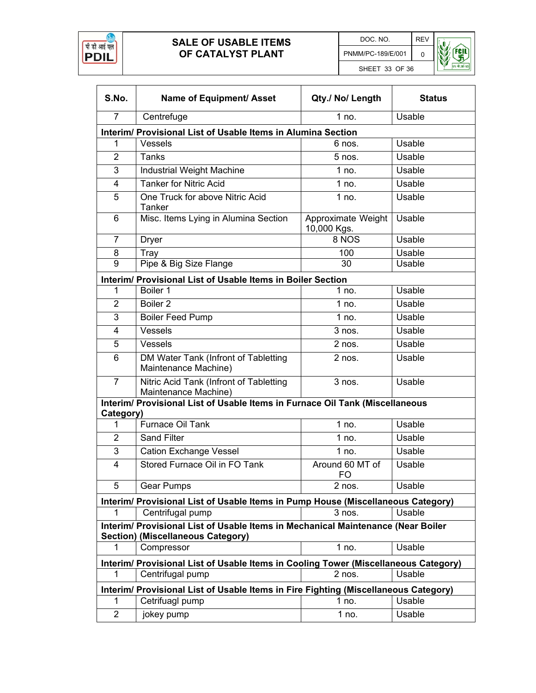



| S.No.                                                                                                                        | Name of Equipment/ Asset                                                            | Qty./ No/ Length                  | <b>Status</b> |  |  |
|------------------------------------------------------------------------------------------------------------------------------|-------------------------------------------------------------------------------------|-----------------------------------|---------------|--|--|
| $\overline{7}$                                                                                                               | Centrefuge                                                                          | 1 no.                             | Usable        |  |  |
|                                                                                                                              | Interim/ Provisional List of Usable Items in Alumina Section                        |                                   |               |  |  |
| 1                                                                                                                            | Vessels                                                                             | 6 nos.                            | Usable        |  |  |
| $\overline{2}$                                                                                                               | <b>Tanks</b>                                                                        | $5$ nos.                          | Usable        |  |  |
| 3                                                                                                                            | Industrial Weight Machine                                                           | 1 no.                             | Usable        |  |  |
| 4                                                                                                                            | <b>Tanker for Nitric Acid</b>                                                       | 1 no.                             | Usable        |  |  |
| 5                                                                                                                            | One Truck for above Nitric Acid<br>Tanker                                           | 1 no.                             | Usable        |  |  |
| 6                                                                                                                            | Misc. Items Lying in Alumina Section                                                | Approximate Weight<br>10,000 Kgs. | Usable        |  |  |
| $\overline{7}$                                                                                                               | <b>Dryer</b>                                                                        | 8 NOS                             | Usable        |  |  |
| 8                                                                                                                            | Tray                                                                                | 100                               | Usable        |  |  |
| 9                                                                                                                            | Pipe & Big Size Flange                                                              | 30                                | Usable        |  |  |
|                                                                                                                              | Interim/ Provisional List of Usable Items in Boiler Section                         |                                   |               |  |  |
| 1                                                                                                                            | Boiler 1                                                                            | 1 no.                             | Usable        |  |  |
| $\overline{2}$                                                                                                               | Boiler <sub>2</sub>                                                                 | $1$ no.                           | Usable        |  |  |
| 3                                                                                                                            | <b>Boiler Feed Pump</b>                                                             | 1 no.                             | Usable        |  |  |
| 4                                                                                                                            | Vessels                                                                             | 3 nos.                            | Usable        |  |  |
| 5                                                                                                                            | Vessels                                                                             | 2 nos.                            | Usable        |  |  |
| 6                                                                                                                            | DM Water Tank (Infront of Tabletting<br>Maintenance Machine)                        | 2 nos.                            | Usable        |  |  |
| $\overline{7}$                                                                                                               | Nitric Acid Tank (Infront of Tabletting<br>Maintenance Machine)                     | $3$ nos.                          | Usable        |  |  |
| Category)                                                                                                                    | Interim/ Provisional List of Usable Items in Furnace Oil Tank (Miscellaneous        |                                   |               |  |  |
| 1                                                                                                                            | Furnace Oil Tank                                                                    | 1 no.                             | Usable        |  |  |
| $\overline{2}$                                                                                                               | <b>Sand Filter</b>                                                                  | 1 no.                             | Usable        |  |  |
| 3                                                                                                                            | <b>Cation Exchange Vessel</b>                                                       | 1 no.                             | Usable        |  |  |
| 4                                                                                                                            | Stored Furnace Oil in FO Tank                                                       | Around 60 MT of<br><b>FO</b>      | Usable        |  |  |
| 5                                                                                                                            | <b>Gear Pumps</b>                                                                   | 2 nos.                            | Usable        |  |  |
|                                                                                                                              | Interim/ Provisional List of Usable Items in Pump House (Miscellaneous Category)    |                                   |               |  |  |
| 1                                                                                                                            | Centrifugal pump                                                                    | 3 nos.                            | Usable        |  |  |
| Interim/ Provisional List of Usable Items in Mechanical Maintenance (Near Boiler<br><b>Section) (Miscellaneous Category)</b> |                                                                                     |                                   |               |  |  |
| 1                                                                                                                            | Compressor                                                                          | 1 no.                             | Usable        |  |  |
|                                                                                                                              | Interim/ Provisional List of Usable Items in Cooling Tower (Miscellaneous Category) |                                   |               |  |  |
| 1                                                                                                                            | Centrifugal pump                                                                    | 2 nos.                            | Usable        |  |  |
| Interim/ Provisional List of Usable Items in Fire Fighting (Miscellaneous Category)                                          |                                                                                     |                                   |               |  |  |
| 1                                                                                                                            | Cetrifuagl pump                                                                     | 1 no.                             | Usable        |  |  |
| $\overline{2}$                                                                                                               | jokey pump                                                                          | 1 no.                             | Usable        |  |  |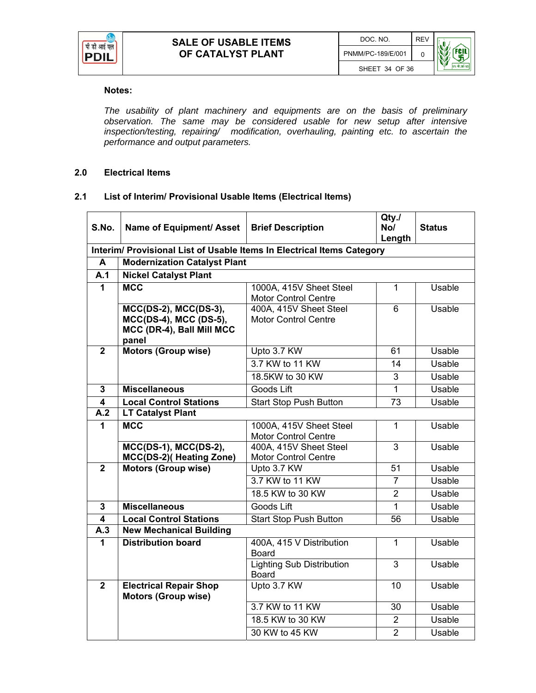

#### **Notes:**

*The usability of plant machinery and equipments are on the basis of preliminary observation. The same may be considered usable for new setup after intensive inspection/testing, repairing/ modification, overhauling, painting etc. to ascertain the performance and output parameters.* 

#### **2.0 Electrical Items**

#### **2.1 List of Interim/ Provisional Usable Items (Electrical Items)**

| S.No.                   | Name of Equipment/ Asset                                                                    | <b>Brief Description</b>                                               | Qty./<br>No/<br>Length | <b>Status</b> |
|-------------------------|---------------------------------------------------------------------------------------------|------------------------------------------------------------------------|------------------------|---------------|
|                         |                                                                                             | Interim/ Provisional List of Usable Items In Electrical Items Category |                        |               |
| A                       | <b>Modernization Catalyst Plant</b>                                                         |                                                                        |                        |               |
| A.1                     | <b>Nickel Catalyst Plant</b>                                                                |                                                                        |                        |               |
| $\mathbf{1}$            | <b>MCC</b>                                                                                  | 1000A, 415V Sheet Steel<br><b>Motor Control Centre</b>                 | $\mathbf{1}$           | Usable        |
|                         | $MCC(DS-2)$ , $MCC(DS-3)$ ,<br>MCC(DS-4), MCC (DS-5),<br>MCC (DR-4), Ball Mill MCC<br>panel | 400A, 415V Sheet Steel<br><b>Motor Control Centre</b>                  | 6                      | Usable        |
| $\overline{2}$          | <b>Motors (Group wise)</b>                                                                  | Upto 3.7 KW                                                            | 61                     | Usable        |
|                         |                                                                                             | 3.7 KW to 11 KW                                                        | 14                     | Usable        |
|                         |                                                                                             | 18.5KW to 30 KW                                                        | 3                      | Usable        |
| $\overline{3}$          | <b>Miscellaneous</b>                                                                        | Goods Lift                                                             | $\overline{1}$         | <b>Usable</b> |
| $\overline{\mathbf{4}}$ | <b>Local Control Stations</b>                                                               | <b>Start Stop Push Button</b>                                          | 73                     | Usable        |
| $\overline{A}.2$        | <b>LT Catalyst Plant</b>                                                                    |                                                                        |                        |               |
| $\mathbf{1}$            | <b>MCC</b>                                                                                  | 1000A, 415V Sheet Steel<br><b>Motor Control Centre</b>                 | 1                      | Usable        |
|                         | $MCC(DS-1)$ , $MCC(DS-2)$ ,<br>MCC(DS-2)(Heating Zone)                                      | 400A, 415V Sheet Steel<br><b>Motor Control Centre</b>                  | 3                      | <b>Usable</b> |
| $\overline{2}$          | <b>Motors (Group wise)</b>                                                                  | Upto 3.7 KW                                                            | 51                     | Usable        |
|                         |                                                                                             | 3.7 KW to 11 KW                                                        | $\overline{7}$         | Usable        |
|                         |                                                                                             | 18.5 KW to 30 KW                                                       | $\overline{2}$         | Usable        |
| $\overline{3}$          | <b>Miscellaneous</b>                                                                        | Goods Lift                                                             | $\overline{1}$         | <b>Usable</b> |
| $\overline{\mathbf{4}}$ | <b>Local Control Stations</b>                                                               | Start Stop Push Button                                                 | $\overline{56}$        | <b>Usable</b> |
| A.3                     | <b>New Mechanical Building</b>                                                              |                                                                        |                        |               |
| 1                       | <b>Distribution board</b>                                                                   | 400A, 415 V Distribution<br><b>Board</b>                               | $\mathbf{1}$           | Usable        |
|                         |                                                                                             | Lighting Sub Distribution<br><b>Board</b>                              | $\overline{3}$         | Usable        |
| $\overline{2}$          | <b>Electrical Repair Shop</b><br><b>Motors (Group wise)</b>                                 | Upto 3.7 KW                                                            | 10                     | Usable        |
|                         |                                                                                             | 3.7 KW to 11 KW                                                        | 30                     | Usable        |
|                         |                                                                                             | 18.5 KW to 30 KW                                                       | $\overline{2}$         | Usable        |
|                         |                                                                                             | 30 KW to 45 KW                                                         | $\overline{2}$         | Usable        |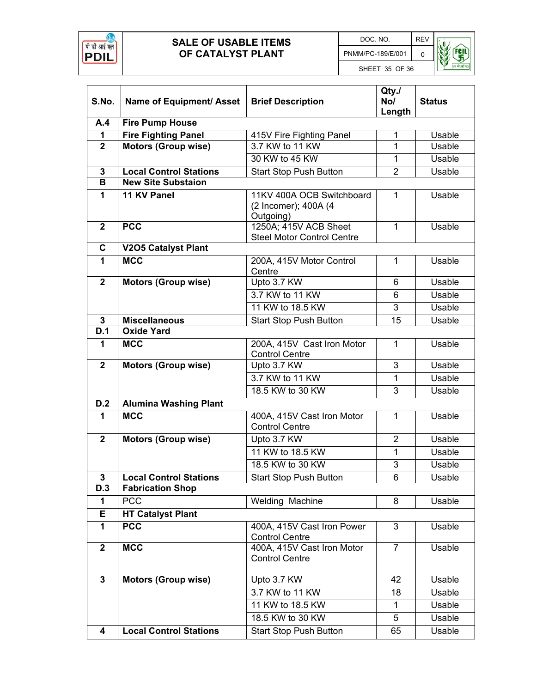





| S.No.          | Name of Equipment/ Asset      | <b>Brief Description</b>                                       | Qty.<br>No/<br>Length | <b>Status</b> |  |
|----------------|-------------------------------|----------------------------------------------------------------|-----------------------|---------------|--|
| A.4            | <b>Fire Pump House</b>        |                                                                |                       |               |  |
| 1              | <b>Fire Fighting Panel</b>    | 415V Fire Fighting Panel                                       | 1                     | Usable        |  |
| $\overline{2}$ | <b>Motors (Group wise)</b>    | 3.7 KW to 11 KW                                                | 1                     | Usable        |  |
|                |                               | 30 KW to 45 KW                                                 | 1                     | Usable        |  |
| $\mathbf{3}$   | <b>Local Control Stations</b> | <b>Start Stop Push Button</b>                                  | $\overline{2}$        | Usable        |  |
| B              | <b>New Site Substaion</b>     |                                                                |                       |               |  |
| $\mathbf{1}$   | 11 KV Panel                   | 11KV 400A OCB Switchboard<br>(2 Incomer); 400A (4<br>Outgoing) | 1                     | Usable        |  |
| $\mathbf{2}$   | <b>PCC</b>                    | 1250A; 415V ACB Sheet<br><b>Steel Motor Control Centre</b>     | $\mathbf 1$           | Usable        |  |
| C              | <b>V2O5 Catalyst Plant</b>    |                                                                |                       |               |  |
| $\mathbf{1}$   | <b>MCC</b>                    | 200A, 415V Motor Control<br>Centre                             | $\mathbf{1}$          | Usable        |  |
| $\overline{2}$ | <b>Motors (Group wise)</b>    | Upto 3.7 KW                                                    | 6                     | Usable        |  |
|                |                               | 3.7 KW to 11 KW                                                | 6                     | Usable        |  |
|                |                               | 11 KW to 18.5 KW                                               | 3                     | <b>Usable</b> |  |
| $\mathbf{3}$   | <b>Miscellaneous</b>          | <b>Start Stop Push Button</b>                                  | 15                    | Usable        |  |
| D.1            | <b>Oxide Yard</b>             |                                                                |                       |               |  |
| 1              | <b>MCC</b>                    | 200A, 415V Cast Iron Motor<br><b>Control Centre</b>            | $\mathbf{1}$          | Usable        |  |
| $\overline{2}$ | <b>Motors (Group wise)</b>    | Upto 3.7 KW                                                    | 3                     | Usable        |  |
|                |                               | 3.7 KW to 11 KW                                                | 1                     | Usable        |  |
|                |                               | 18.5 KW to 30 KW                                               | 3                     | Usable        |  |
| D.2            | <b>Alumina Washing Plant</b>  |                                                                |                       |               |  |
| $\mathbf{1}$   | <b>MCC</b>                    | 400A, 415V Cast Iron Motor<br><b>Control Centre</b>            | 1                     | Usable        |  |
| $\overline{2}$ | <b>Motors (Group wise)</b>    | Upto 3.7 KW                                                    | $\overline{2}$        | Usable        |  |
|                |                               | 11 KW to 18.5 KW                                               | $\mathbf{1}$          | Usable        |  |
|                |                               | 18.5 KW to 30 KW                                               | $\overline{3}$        | Usable        |  |
| 3              | <b>Local Control Stations</b> | Start Stop Push Button                                         | 6                     | Usable        |  |
| D.3            | <b>Fabrication Shop</b>       |                                                                |                       |               |  |
| 1              | <b>PCC</b>                    | Welding Machine                                                | 8                     | Usable        |  |
| E              | <b>HT Catalyst Plant</b>      |                                                                |                       |               |  |
| $\mathbf{1}$   | <b>PCC</b>                    | 400A, 415V Cast Iron Power<br><b>Control Centre</b>            | 3                     | Usable        |  |
| $\mathbf{2}$   | <b>MCC</b>                    | 400A, 415V Cast Iron Motor<br><b>Control Centre</b>            | $\overline{7}$        | Usable        |  |
| $\mathbf{3}$   | <b>Motors (Group wise)</b>    | Upto 3.7 KW                                                    | 42                    | Usable        |  |
|                |                               | 3.7 KW to 11 KW                                                | 18                    | Usable        |  |
|                |                               | 11 KW to 18.5 KW                                               | 1                     | Usable        |  |
|                |                               | 18.5 KW to 30 KW                                               | 5                     | Usable        |  |
| 4              | <b>Local Control Stations</b> | <b>Start Stop Push Button</b>                                  | 65                    | Usable        |  |